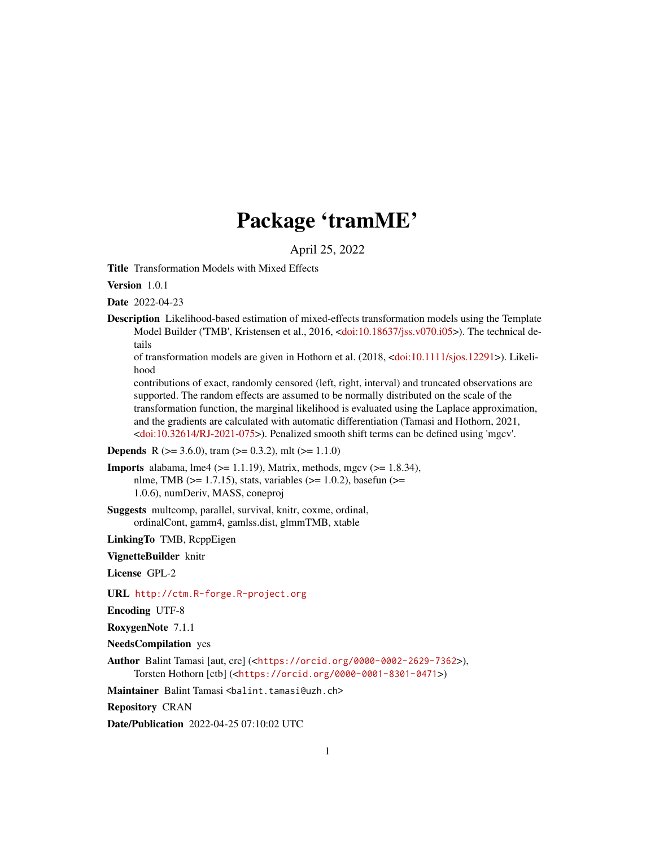# Package 'tramME'

April 25, 2022

<span id="page-0-0"></span>Title Transformation Models with Mixed Effects

Version 1.0.1

Date 2022-04-23

Description Likelihood-based estimation of mixed-effects transformation models using the Template Model Builder ('TMB', Kristensen et al., 2016, [<doi:10.18637/jss.v070.i05>](https://doi.org/10.18637/jss.v070.i05)). The technical details

of transformation models are given in Hothorn et al. (2018, [<doi:10.1111/sjos.12291>](https://doi.org/10.1111/sjos.12291)). Likelihood

contributions of exact, randomly censored (left, right, interval) and truncated observations are supported. The random effects are assumed to be normally distributed on the scale of the transformation function, the marginal likelihood is evaluated using the Laplace approximation, and the gradients are calculated with automatic differentiation (Tamasi and Hothorn, 2021, [<doi:10.32614/RJ-2021-075>](https://doi.org/10.32614/RJ-2021-075)). Penalized smooth shift terms can be defined using 'mgcv'.

#### **Depends** R ( $>= 3.6.0$ ), tram ( $>= 0.3.2$ ), mlt ( $>= 1.1.0$ )

**Imports** alabama, lme4 ( $>= 1.1.19$ ), Matrix, methods, mgcv ( $>= 1.8.34$ ), nlme, TMB ( $>= 1.7.15$ ), stats, variables ( $>= 1.0.2$ ), basefun ( $>=$ 1.0.6), numDeriv, MASS, coneproj

Suggests multcomp, parallel, survival, knitr, coxme, ordinal, ordinalCont, gamm4, gamlss.dist, glmmTMB, xtable

LinkingTo TMB, RcppEigen

VignetteBuilder knitr

License GPL-2

URL <http://ctm.R-forge.R-project.org>

Encoding UTF-8

RoxygenNote 7.1.1

NeedsCompilation yes

Author Balint Tamasi [aut, cre] (<<https://orcid.org/0000-0002-2629-7362>>), Torsten Hothorn [ctb] (<<https://orcid.org/0000-0001-8301-0471>>)

Maintainer Balint Tamasi <br/>balint.tamasi@uzh.ch>

Repository CRAN

Date/Publication 2022-04-25 07:10:02 UTC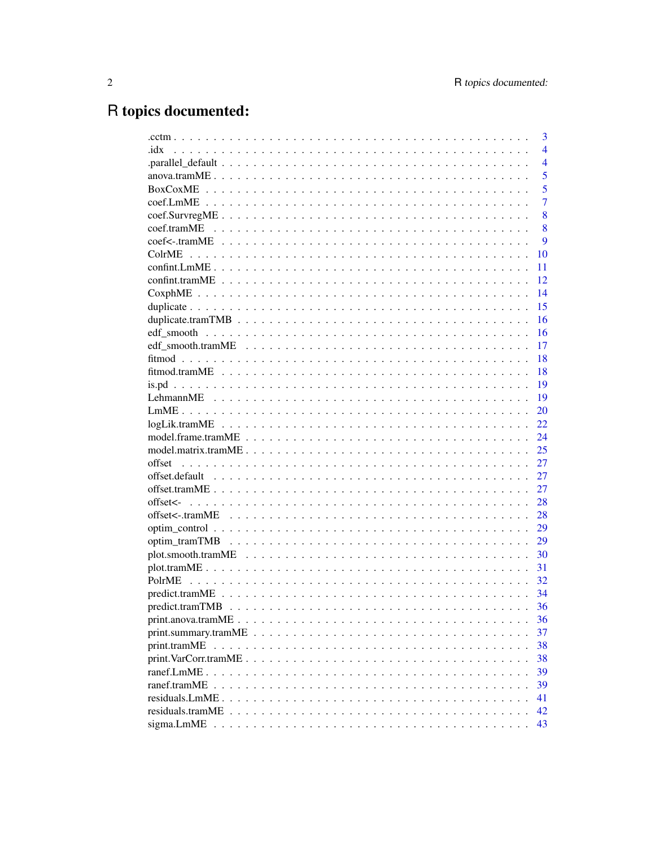# R topics documented:

|                                                                                                                        | 3              |
|------------------------------------------------------------------------------------------------------------------------|----------------|
| idx                                                                                                                    | $\overline{4}$ |
|                                                                                                                        | $\overline{4}$ |
|                                                                                                                        | 5              |
|                                                                                                                        | 5              |
|                                                                                                                        | $\overline{7}$ |
|                                                                                                                        | 8              |
|                                                                                                                        | 8              |
|                                                                                                                        | 9              |
|                                                                                                                        | 10             |
|                                                                                                                        | 11             |
|                                                                                                                        | 12             |
|                                                                                                                        | 14             |
|                                                                                                                        | 15             |
|                                                                                                                        | 16             |
|                                                                                                                        | 16             |
|                                                                                                                        | 17             |
|                                                                                                                        | 18             |
|                                                                                                                        | 18             |
|                                                                                                                        | 19             |
|                                                                                                                        | 19             |
|                                                                                                                        | 20             |
|                                                                                                                        | 22             |
|                                                                                                                        | 24             |
|                                                                                                                        | 25             |
| offset                                                                                                                 | 27             |
|                                                                                                                        | 27             |
|                                                                                                                        | 27             |
|                                                                                                                        | 28             |
|                                                                                                                        | 28             |
|                                                                                                                        | 29             |
|                                                                                                                        | 29             |
|                                                                                                                        | 30             |
|                                                                                                                        | 31             |
|                                                                                                                        | 32             |
|                                                                                                                        | 34             |
|                                                                                                                        | 36             |
|                                                                                                                        | 36             |
|                                                                                                                        | 37             |
|                                                                                                                        | 38             |
| $print.VarCorr.tramME \dots \dots \dots \dots \dots \dots \dots \dots \dots \dots \dots \dots \dots \dots \dots \dots$ | 38             |
|                                                                                                                        | 39             |
|                                                                                                                        | 39             |
|                                                                                                                        | 41             |
|                                                                                                                        | 42             |
|                                                                                                                        | 43             |
|                                                                                                                        |                |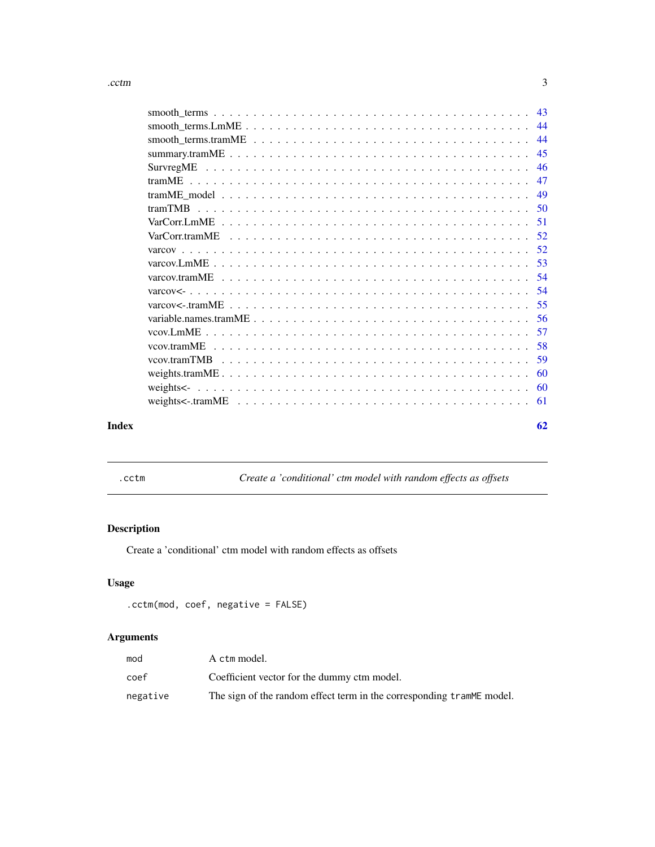<span id="page-2-0"></span>

| Index | 62 |  |
|-------|----|--|

.cctm *Create a 'conditional' ctm model with random effects as offsets*

# Description

Create a 'conditional' ctm model with random effects as offsets

# Usage

.cctm(mod, coef, negative = FALSE)

| mod      | A ctm model.                                                           |
|----------|------------------------------------------------------------------------|
| coef     | Coefficient vector for the dummy ctm model.                            |
| negative | The sign of the random effect term in the corresponding trammer model. |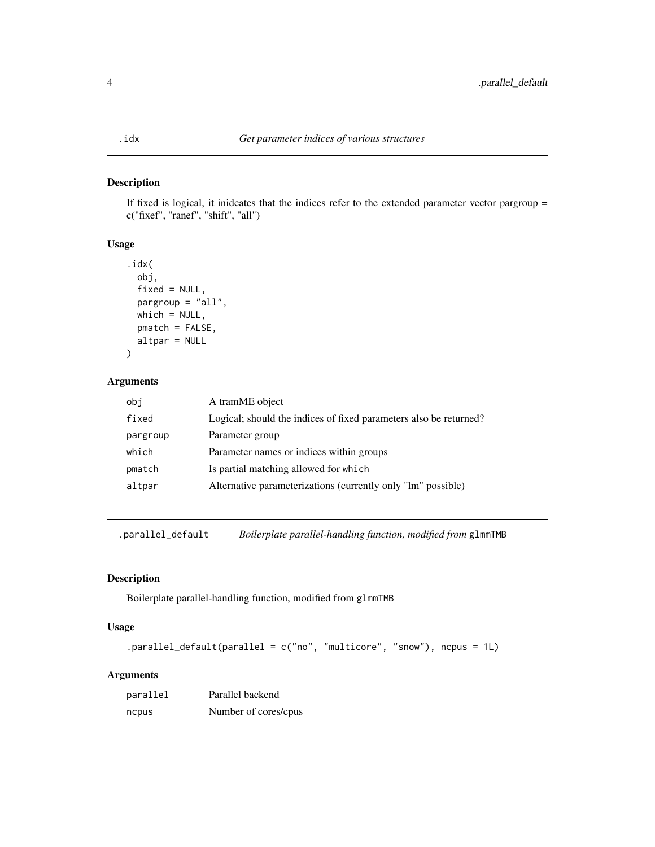<span id="page-3-0"></span>If fixed is logical, it inidcates that the indices refer to the extended parameter vector pargroup = c("fixef", "ranef", "shift", "all")

#### Usage

```
.idx(
  obj,
  fixed = NULL,pargroup = "all",
 which = NULL,
 pmatch = FALSE,
  altpar = NULL
\mathcal{L}
```
#### Arguments

| obi      | A tramME object                                                   |
|----------|-------------------------------------------------------------------|
| fixed    | Logical; should the indices of fixed parameters also be returned? |
| pargroup | Parameter group                                                   |
| which    | Parameter names or indices within groups                          |
| pmatch   | Is partial matching allowed for which                             |
| altpar   | Alternative parameterizations (currently only "lm" possible)      |

.parallel\_default *Boilerplate parallel-handling function, modified from* glmmTMB

#### Description

Boilerplate parallel-handling function, modified from glmmTMB

#### Usage

```
.parallel_default(parallel = c("no", "multicore", "snow"), ncpus = 1L)
```

| parallel | Parallel backend     |
|----------|----------------------|
| ncpus    | Number of cores/cpus |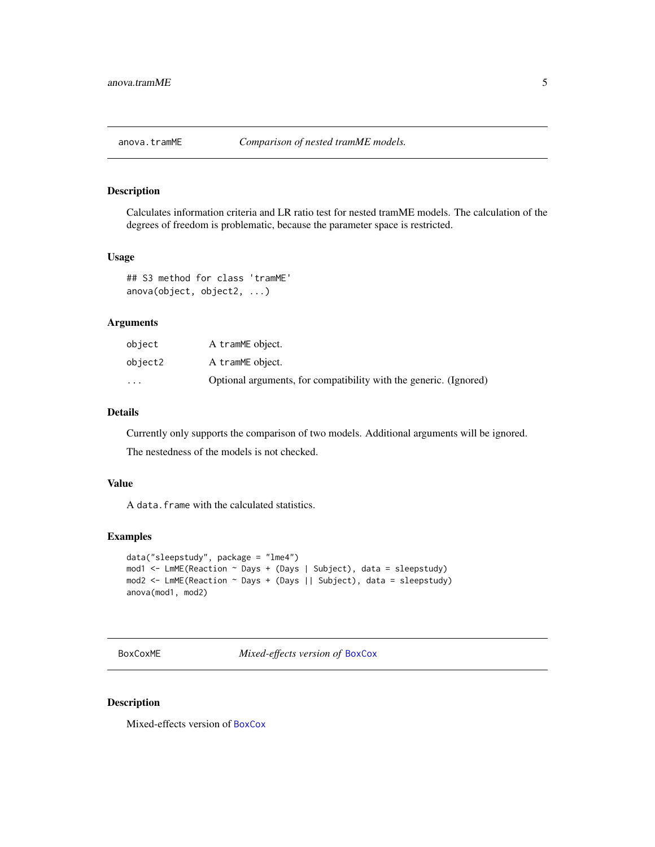<span id="page-4-0"></span>

Calculates information criteria and LR ratio test for nested tramME models. The calculation of the degrees of freedom is problematic, because the parameter space is restricted.

#### Usage

```
## S3 method for class 'tramME'
anova(object, object2, ...)
```
#### Arguments

| object  | A tramME object.                                                  |
|---------|-------------------------------------------------------------------|
| object2 | A tramME object.                                                  |
| $\cdot$ | Optional arguments, for compatibility with the generic. (Ignored) |

### Details

Currently only supports the comparison of two models. Additional arguments will be ignored.

The nestedness of the models is not checked.

#### Value

A data.frame with the calculated statistics.

#### Examples

```
data("sleepstudy", package = "lme4")
mod1 <- LmME(Reaction ~ Days + (Days | Subject), data = sleepstudy)
mod2 <- LmME(Reaction ~ Days + (Days || Subject), data = sleepstudy)
anova(mod1, mod2)
```
<span id="page-4-1"></span>BoxCoxME *Mixed-effects version of* [BoxCox](#page-0-0)

#### Description

Mixed-effects version of [BoxCox](#page-0-0)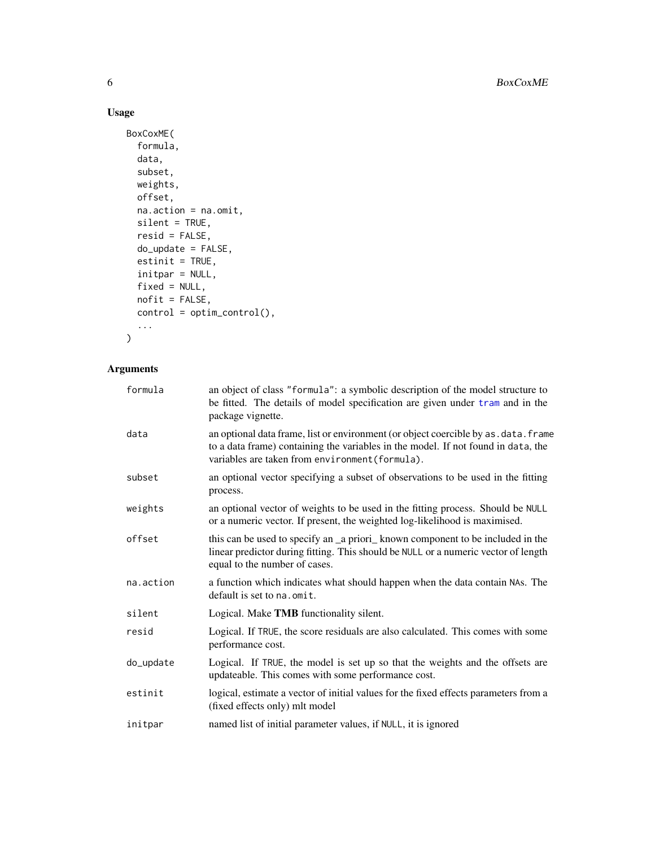# Usage

```
BoxCoxME(
  formula,
  data,
  subset,
  weights,
  offset,
  na.action = na.omit,
  silent = TRUE,
  resid = FALSE,
  do_update = FALSE,
  estinit = TRUE,initpar = NULL,
  fixed = NULL,
  nofit = FALSE,
  control = optim_control(),
  ...
\mathcal{L}
```

| formula   | an object of class "formula": a symbolic description of the model structure to<br>be fitted. The details of model specification are given under tram and in the<br>package vignette.                                         |
|-----------|------------------------------------------------------------------------------------------------------------------------------------------------------------------------------------------------------------------------------|
| data      | an optional data frame, list or environment (or object coercible by as . data. frame<br>to a data frame) containing the variables in the model. If not found in data, the<br>variables are taken from environment (formula). |
| subset    | an optional vector specifying a subset of observations to be used in the fitting<br>process.                                                                                                                                 |
| weights   | an optional vector of weights to be used in the fitting process. Should be NULL<br>or a numeric vector. If present, the weighted log-likelihood is maximised.                                                                |
| offset    | this can be used to specify an _a priori_known component to be included in the<br>linear predictor during fitting. This should be NULL or a numeric vector of length<br>equal to the number of cases.                        |
| na.action | a function which indicates what should happen when the data contain NAs. The<br>default is set to na, omit.                                                                                                                  |
| silent    | Logical. Make TMB functionality silent.                                                                                                                                                                                      |
| resid     | Logical. If TRUE, the score residuals are also calculated. This comes with some<br>performance cost.                                                                                                                         |
| do_update | Logical. If TRUE, the model is set up so that the weights and the offsets are<br>updateable. This comes with some performance cost.                                                                                          |
| estinit   | logical, estimate a vector of initial values for the fixed effects parameters from a<br>(fixed effects only) mlt model                                                                                                       |
| initpar   | named list of initial parameter values, if NULL, it is ignored                                                                                                                                                               |

<span id="page-5-0"></span>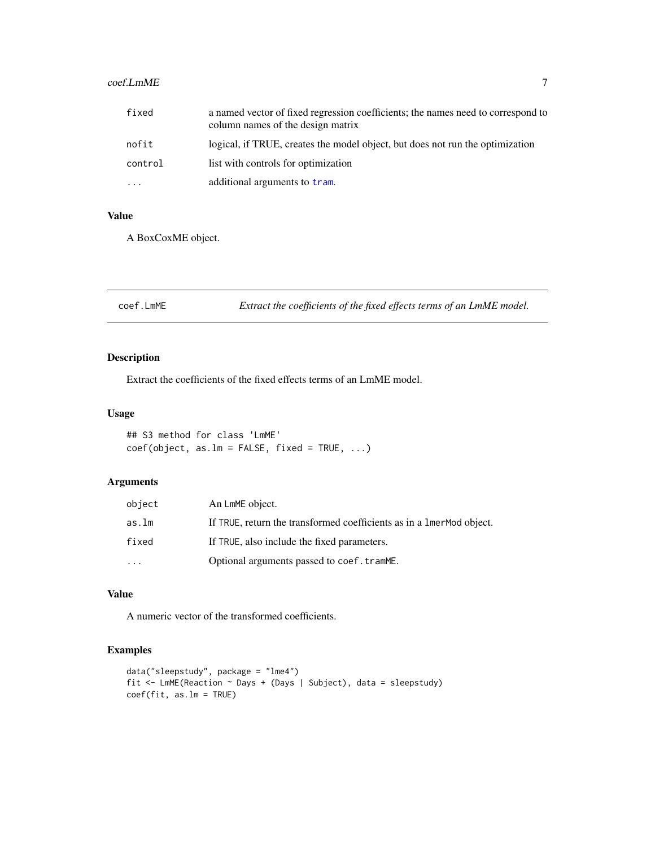# <span id="page-6-0"></span>coef.LmME 7

| fixed   | a named vector of fixed regression coefficients; the names need to correspond to<br>column names of the design matrix |
|---------|-----------------------------------------------------------------------------------------------------------------------|
| nofit   | logical, if TRUE, creates the model object, but does not run the optimization                                         |
| control | list with controls for optimization                                                                                   |
| .       | additional arguments to tram.                                                                                         |

#### Value

A BoxCoxME object.

| coef.LmME | Extract the coefficients of the fixed effects terms of an LmME model. |
|-----------|-----------------------------------------------------------------------|
|-----------|-----------------------------------------------------------------------|

#### Description

Extract the coefficients of the fixed effects terms of an LmME model.

## Usage

```
## S3 method for class 'LmME'
coef(object, as.lm = FALSE, fixed = TRUE, ...)
```
# Arguments

| object    | An LmME object.                                                        |
|-----------|------------------------------------------------------------------------|
| as.lm     | If TRUE, return the transformed coefficients as in a 1 mer Mod object. |
| fixed     | If TRUE, also include the fixed parameters.                            |
| $\ddotsc$ | Optional arguments passed to coef.tramME.                              |

# Value

A numeric vector of the transformed coefficients.

#### Examples

```
data("sleepstudy", package = "lme4")
fit <- LmME(Reaction \sim Days + (Days | Subject), data = sleepstudy)
coef(fit, as.lm = TRUE)
```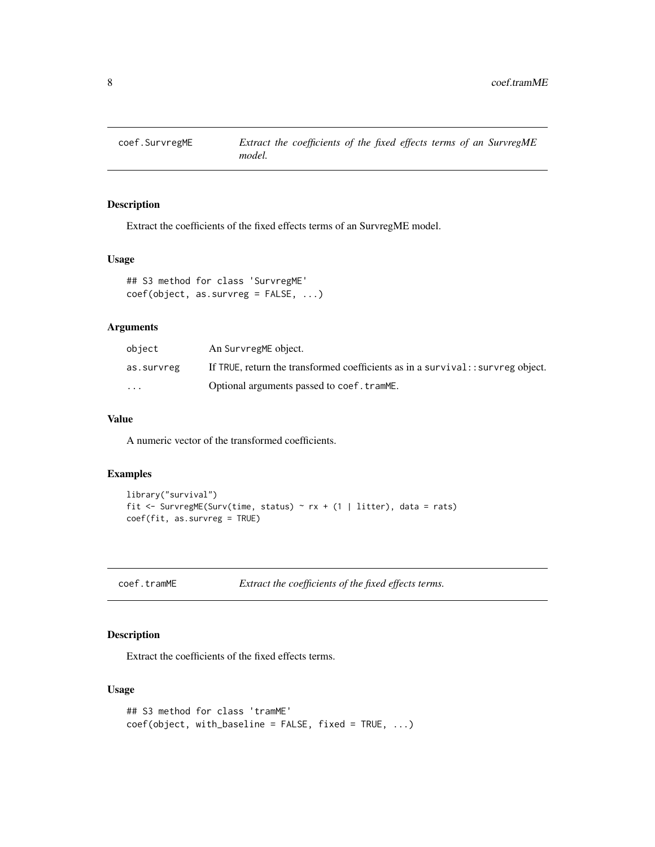<span id="page-7-0"></span>

Extract the coefficients of the fixed effects terms of an SurvregME model.

#### Usage

```
## S3 method for class 'SurvregME'
coef(object, as.survreg = FALSE, ...)
```
## Arguments

| object                  | An SurvregME object.                                                           |
|-------------------------|--------------------------------------------------------------------------------|
| as.survreg              | If TRUE, return the transformed coefficients as in a survival: survreg object. |
| $\cdot$ $\cdot$ $\cdot$ | Optional arguments passed to coef.tramME.                                      |

# Value

A numeric vector of the transformed coefficients.

#### Examples

```
library("survival")
fit <- SurvregME(Surv(time, status) ~ rx + (1 | litter), data = rats)
coef(fit, as.survreg = TRUE)
```
coef.tramME *Extract the coefficients of the fixed effects terms.*

#### Description

Extract the coefficients of the fixed effects terms.

#### Usage

```
## S3 method for class 'tramME'
coef(object, with_baseline = FALSE, fixed = TRUE, ...)
```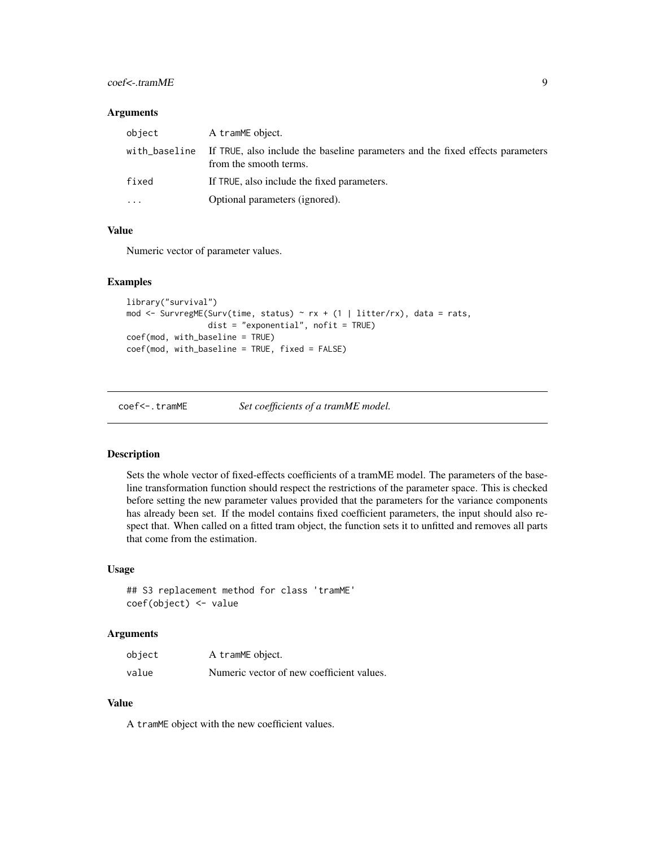#### <span id="page-8-0"></span>coef<-.tramME 9

#### **Arguments**

| object        | A tramME object.                                                                                         |
|---------------|----------------------------------------------------------------------------------------------------------|
| with_baseline | If TRUE, also include the baseline parameters and the fixed effects parameters<br>from the smooth terms. |
| fixed         | If TRUE, also include the fixed parameters.                                                              |
| $\cdots$      | Optional parameters (ignored).                                                                           |

#### Value

Numeric vector of parameter values.

#### Examples

```
library("survival")
mod <- SurvregME(Surv(time, status) ~ rx + (1 | litter/rx), data = rats,
                 dist = "exponential", \text{ nofit} = TRUE)coef(mod, with_baseline = TRUE)
coef(mod, with_baseline = TRUE, fixed = FALSE)
```
coef<-.tramME *Set coefficients of a tramME model.*

#### Description

Sets the whole vector of fixed-effects coefficients of a tramME model. The parameters of the baseline transformation function should respect the restrictions of the parameter space. This is checked before setting the new parameter values provided that the parameters for the variance components has already been set. If the model contains fixed coefficient parameters, the input should also respect that. When called on a fitted tram object, the function sets it to unfitted and removes all parts that come from the estimation.

#### Usage

```
## S3 replacement method for class 'tramME'
coef(object) <- value
```
#### Arguments

| object | A tramME object.                          |
|--------|-------------------------------------------|
| value  | Numeric vector of new coefficient values. |

#### Value

A tramME object with the new coefficient values.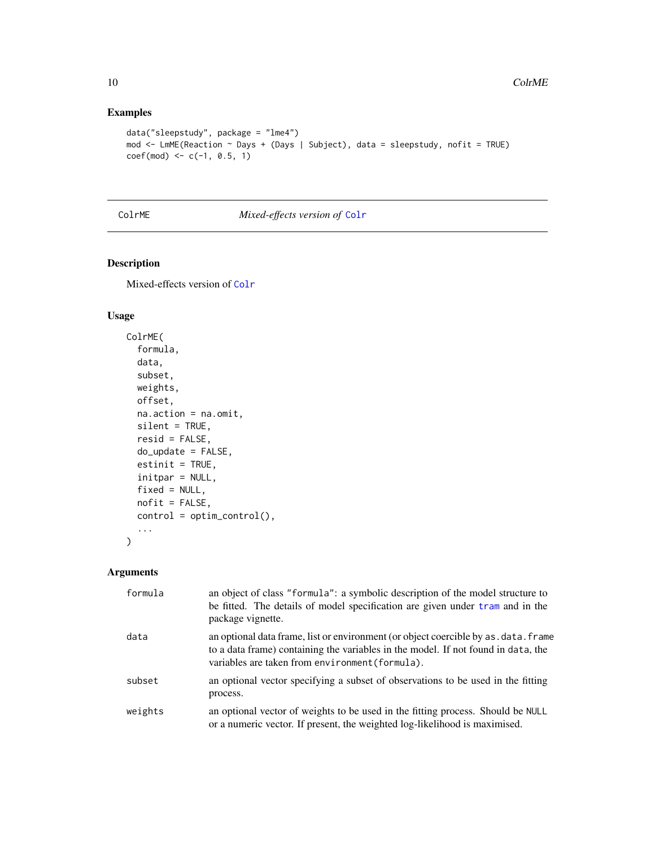#### Examples

```
data("sleepstudy", package = "lme4")
mod <- LmME(Reaction ~ Days + (Days | Subject), data = sleepstudy, nofit = TRUE)
coef(mod) \leq c(-1, 0.5, 1)
```
#### <span id="page-9-1"></span>ColrME *Mixed-effects version of* [Colr](#page-0-0)

### Description

Mixed-effects version of [Colr](#page-0-0)

#### Usage

```
ColrME(
  formula,
  data,
  subset,
  weights,
  offset,
  na.action = na.omit,
  silent = TRUE,
  resid = FALSE,
  do_update = FALSE,
  estinit = TRUE,
  initpar = NULL,
  fixed = NULL,
  nofit = FALSE,control = optim_control(),
  ...
)
```

| formula | an object of class "formula": a symbolic description of the model structure to<br>be fitted. The details of model specification are given under tram and in the<br>package vignette.                                         |
|---------|------------------------------------------------------------------------------------------------------------------------------------------------------------------------------------------------------------------------------|
| data    | an optional data frame, list or environment (or object coercible by as . data. frame<br>to a data frame) containing the variables in the model. If not found in data, the<br>variables are taken from environment (formula). |
| subset  | an optional vector specifying a subset of observations to be used in the fitting<br>process.                                                                                                                                 |
| weights | an optional vector of weights to be used in the fitting process. Should be NULL<br>or a numeric vector. If present, the weighted log-likelihood is maximised.                                                                |

<span id="page-9-0"></span>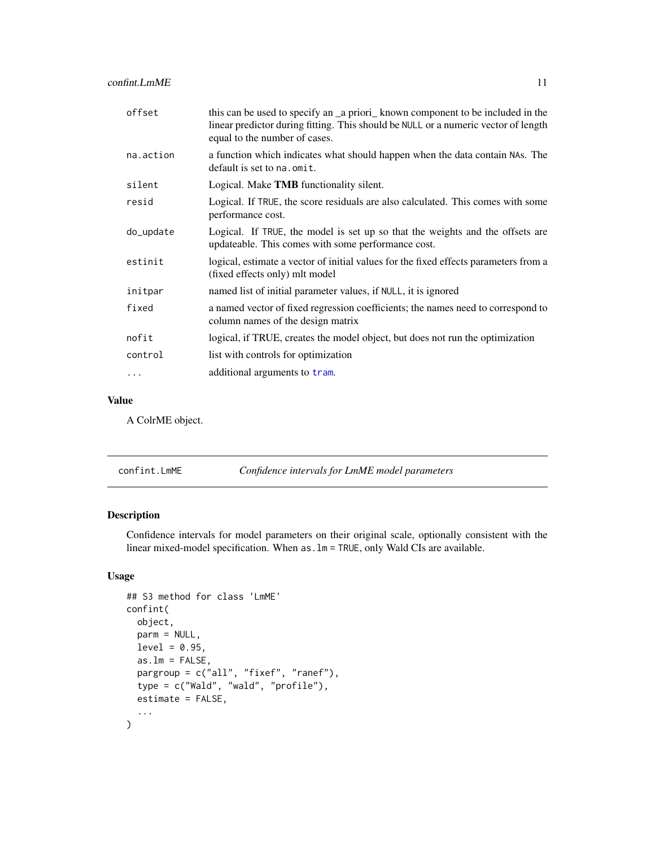<span id="page-10-0"></span>

| offset     | this can be used to specify an _a priori_ known component to be included in the<br>linear predictor during fitting. This should be NULL or a numeric vector of length<br>equal to the number of cases. |
|------------|--------------------------------------------------------------------------------------------------------------------------------------------------------------------------------------------------------|
| na.action  | a function which indicates what should happen when the data contain NAs. The<br>default is set to na. omit.                                                                                            |
| silent     | Logical. Make TMB functionality silent.                                                                                                                                                                |
| resid      | Logical. If TRUE, the score residuals are also calculated. This comes with some<br>performance cost.                                                                                                   |
| do_update  | Logical. If TRUE, the model is set up so that the weights and the offsets are<br>updateable. This comes with some performance cost.                                                                    |
| estinit    | logical, estimate a vector of initial values for the fixed effects parameters from a<br>(fixed effects only) mlt model                                                                                 |
| initpar    | named list of initial parameter values, if NULL, it is ignored                                                                                                                                         |
| fixed      | a named vector of fixed regression coefficients; the names need to correspond to<br>column names of the design matrix                                                                                  |
| nofit      | logical, if TRUE, creates the model object, but does not run the optimization                                                                                                                          |
| control    | list with controls for optimization                                                                                                                                                                    |
| $\ddots$ . | additional arguments to tram.                                                                                                                                                                          |

#### Value

A ColrME object.

| confint.LmME | Confidence intervals for LmME model parameters |
|--------------|------------------------------------------------|
|--------------|------------------------------------------------|

### Description

Confidence intervals for model parameters on their original scale, optionally consistent with the linear mixed-model specification. When as.lm = TRUE, only Wald CIs are available.

#### Usage

```
## S3 method for class 'LmME'
confint(
 object,
 parm = NULL,
 level = 0.95,as.lm = FALSE,pargroup = c("all", "fixef", "ranef"),
  type = c("Wald", "wald", "profile"),
  estimate = FALSE,
  ...
\mathcal{L}
```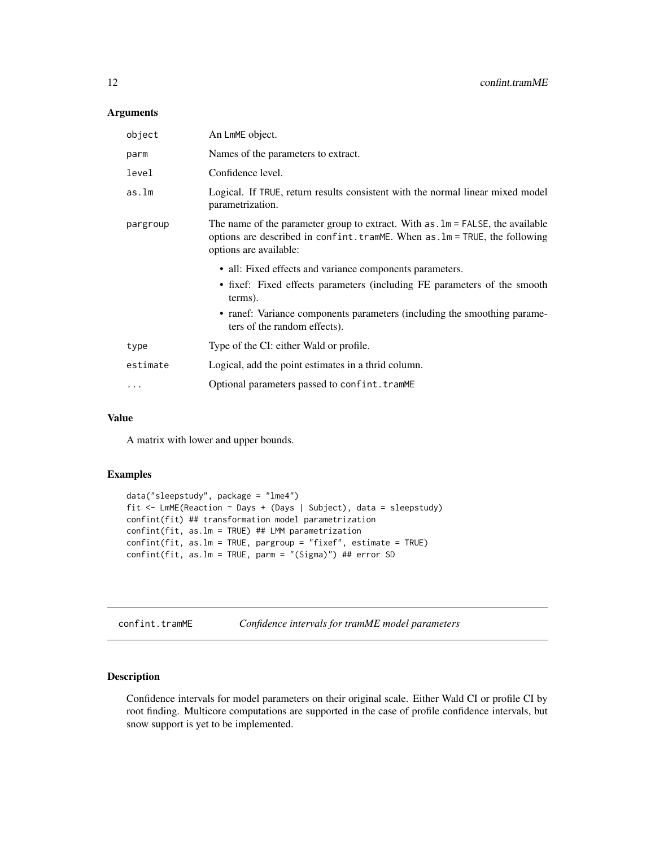#### <span id="page-11-0"></span>Arguments

| An LmME object.                                                                                                                                                                                           |  |
|-----------------------------------------------------------------------------------------------------------------------------------------------------------------------------------------------------------|--|
| Names of the parameters to extract.                                                                                                                                                                       |  |
| Confidence level.                                                                                                                                                                                         |  |
| Logical. If TRUE, return results consistent with the normal linear mixed model<br>parametrization.                                                                                                        |  |
| The name of the parameter group to extract. With $as. \text{lm} = \text{FALSE}$ , the available<br>options are described in confint. tramME. When as . 1m = TRUE, the following<br>options are available: |  |
| • all: Fixed effects and variance components parameters.                                                                                                                                                  |  |
| • fixef: Fixed effects parameters (including FE parameters of the smooth<br>terms).                                                                                                                       |  |
| • ranef: Variance components parameters (including the smoothing parame-<br>ters of the random effects).                                                                                                  |  |
| Type of the CI: either Wald or profile.                                                                                                                                                                   |  |
| Logical, add the point estimates in a thrid column.                                                                                                                                                       |  |
| Optional parameters passed to confint.tramME                                                                                                                                                              |  |
|                                                                                                                                                                                                           |  |

#### Value

A matrix with lower and upper bounds.

#### Examples

```
data("sleepstudy", package = "lme4")
fit <- LmME(Reaction ~ Days + (Days | Subject), data = sleepstudy)
confint(fit) ## transformation model parametrization
confint(fit, as.lm = TRUE) ## LMM parametrization
confint(fit, as.lm = TRUE, pargroup = "fixef", estimate = TRUE)
confint(fit, as.lm = TRUE, parm = "(Sigma)") ## error SD
```
confint.tramME *Confidence intervals for tramME model parameters*

#### Description

Confidence intervals for model parameters on their original scale. Either Wald CI or profile CI by root finding. Multicore computations are supported in the case of profile confidence intervals, but snow support is yet to be implemented.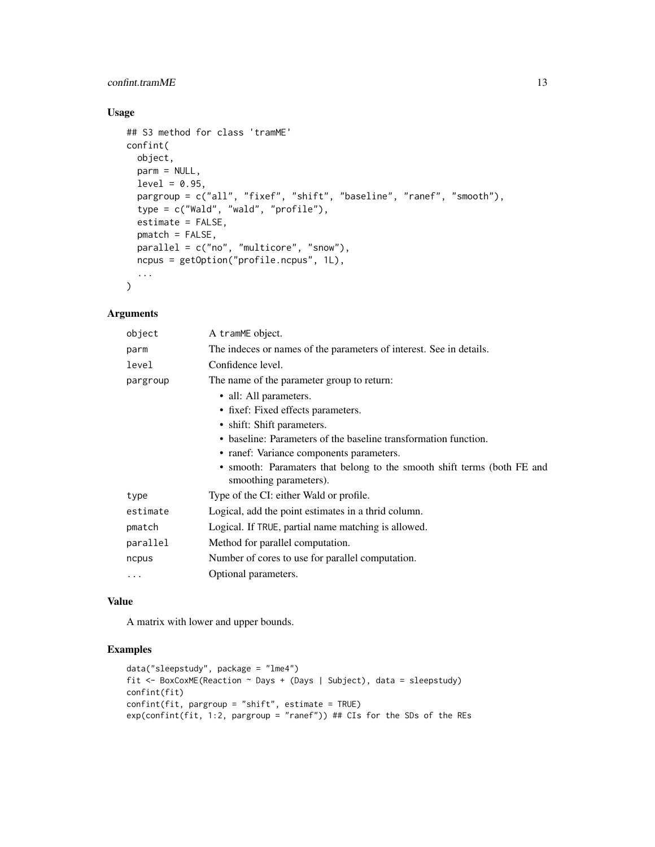#### confint.tramME 13

# Usage

```
## S3 method for class 'tramME'
confint(
 object,
 parm = NULL,
  level = 0.95,
 pargroup = c("all", "fixef", "shift", "baseline", "ranef", "smooth"),
  type = c("Wald", "wald", "profile"),
  estimate = FALSE,
 pmatch = FALSE,
 parallel = c("no", "multicore", "snow"),
 ncpus = getOption("profile.ncpus", 1L),
  ...
\mathcal{L}
```
#### Arguments

| object   | A tramME object.                                                                                  |  |
|----------|---------------------------------------------------------------------------------------------------|--|
| parm     | The indeces or names of the parameters of interest. See in details.                               |  |
| level    | Confidence level.                                                                                 |  |
| pargroup | The name of the parameter group to return:                                                        |  |
|          | • all: All parameters.                                                                            |  |
|          | • fixef: Fixed effects parameters.                                                                |  |
|          | • shift: Shift parameters.                                                                        |  |
|          | • baseline: Parameters of the baseline transformation function.                                   |  |
|          | • ranef: Variance components parameters.                                                          |  |
|          | • smooth: Paramaters that belong to the smooth shift terms (both FE and<br>smoothing parameters). |  |
| type     | Type of the CI: either Wald or profile.                                                           |  |
| estimate | Logical, add the point estimates in a thrid column.                                               |  |
| pmatch   | Logical. If TRUE, partial name matching is allowed.                                               |  |
| parallel | Method for parallel computation.                                                                  |  |
| ncpus    | Number of cores to use for parallel computation.                                                  |  |
| $\cdots$ | Optional parameters.                                                                              |  |

#### Value

A matrix with lower and upper bounds.

#### Examples

```
data("sleepstudy", package = "lme4")
fit <- BoxCoxME(Reaction ~ Days + (Days | Subject), data = sleepstudy)
confint(fit)
confint(fit, pargroup = "shift", estimate = TRUE)
exp(confint(fit, 1:2, pargroup = "ranef")) ## CIs for the SDs of the REs
```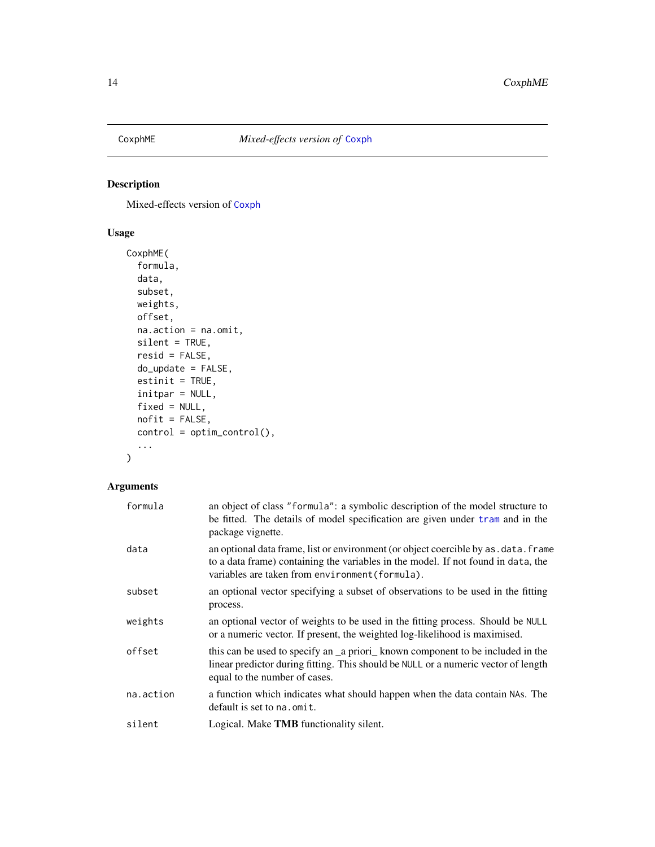<span id="page-13-0"></span>

Mixed-effects version of [Coxph](#page-0-0)

### Usage

```
CoxphME(
  formula,
 data,
  subset,
 weights,
 offset,
 na.action = na.omit,
 silent = TRUE,
  resid = FALSE,
 do_update = FALSE,
 estinit = TRUE,
  initpar = NULL,
  fixed = NULL,
 nofit = FALSE,
 control = optim_control(),
  ...
)
```

| formula   | an object of class "formula": a symbolic description of the model structure to<br>be fitted. The details of model specification are given under tram and in the<br>package vignette.                                         |
|-----------|------------------------------------------------------------------------------------------------------------------------------------------------------------------------------------------------------------------------------|
| data      | an optional data frame, list or environment (or object coercible by as . data. frame<br>to a data frame) containing the variables in the model. If not found in data, the<br>variables are taken from environment (formula). |
| subset    | an optional vector specifying a subset of observations to be used in the fitting<br>process.                                                                                                                                 |
| weights   | an optional vector of weights to be used in the fitting process. Should be NULL<br>or a numeric vector. If present, the weighted log-likelihood is maximised.                                                                |
| offset    | this can be used to specify an a priori known component to be included in the<br>linear predictor during fitting. This should be NULL or a numeric vector of length<br>equal to the number of cases.                         |
| na.action | a function which indicates what should happen when the data contain NAs. The<br>default is set to na.omit.                                                                                                                   |
| silent    | Logical. Make <b>TMB</b> functionality silent.                                                                                                                                                                               |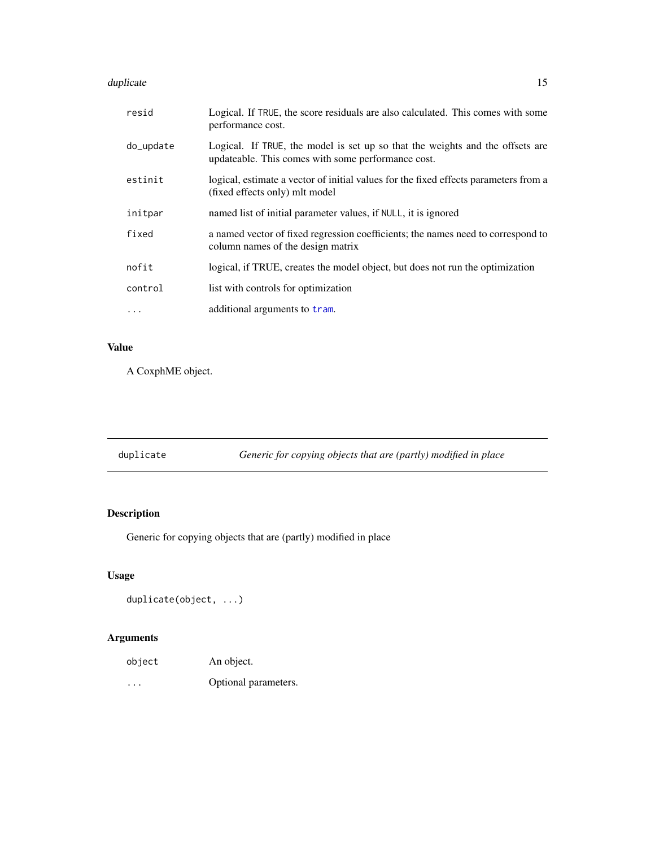#### <span id="page-14-0"></span>duplicate the state of the state of the state of the state of the state of the state of the state of the state of the state of the state of the state of the state of the state of the state of the state of the state of the

| resid     | Logical. If TRUE, the score residuals are also calculated. This comes with some<br>performance cost.                                |
|-----------|-------------------------------------------------------------------------------------------------------------------------------------|
| do_update | Logical. If TRUE, the model is set up so that the weights and the offsets are<br>updateable. This comes with some performance cost. |
| estinit   | logical, estimate a vector of initial values for the fixed effects parameters from a<br>(fixed effects only) mlt model              |
| initpar   | named list of initial parameter values, if NULL, it is ignored                                                                      |
| fixed     | a named vector of fixed regression coefficients; the names need to correspond to<br>column names of the design matrix               |
| nofit     | logical, if TRUE, creates the model object, but does not run the optimization                                                       |
| control   | list with controls for optimization                                                                                                 |
| .         | additional arguments to tram.                                                                                                       |

# Value

A CoxphME object.

| duplicate |  | Generic for copying objects that are (partly) modified in place |
|-----------|--|-----------------------------------------------------------------|

# Description

Generic for copying objects that are (partly) modified in place

# Usage

```
duplicate(object, ...)
```

| object                  | An object.           |
|-------------------------|----------------------|
| $\cdot$ $\cdot$ $\cdot$ | Optional parameters. |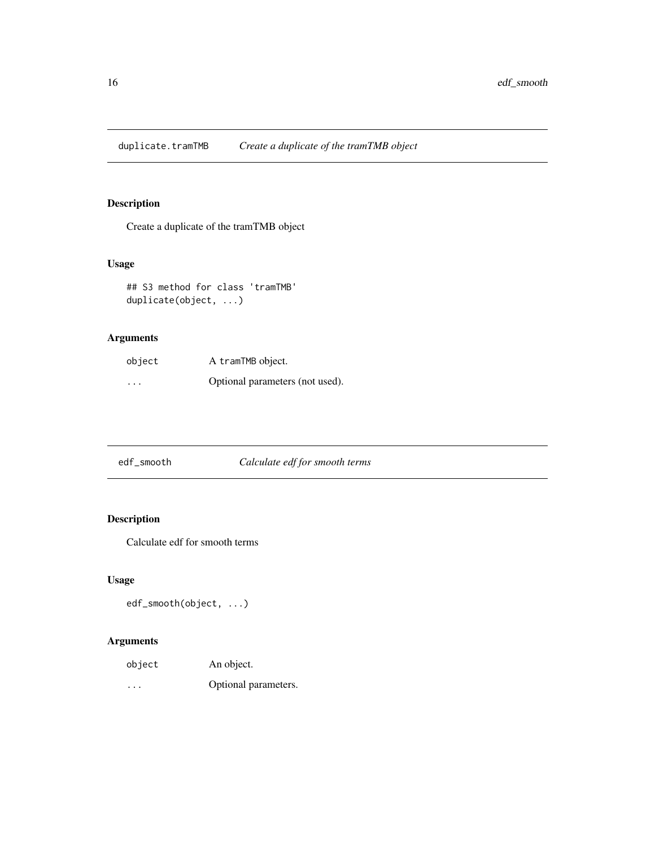<span id="page-15-0"></span>duplicate.tramTMB *Create a duplicate of the tramTMB object*

# Description

Create a duplicate of the tramTMB object

# Usage

## S3 method for class 'tramTMB' duplicate(object, ...)

# Arguments

| object   | A tramTMB object.               |  |
|----------|---------------------------------|--|
| $\cdots$ | Optional parameters (not used). |  |

| edf_smooth | Calculate edf for smooth terms |
|------------|--------------------------------|
|            |                                |

# Description

Calculate edf for smooth terms

#### Usage

```
edf_smooth(object, ...)
```

| object                  | An object.           |
|-------------------------|----------------------|
| $\cdot$ $\cdot$ $\cdot$ | Optional parameters. |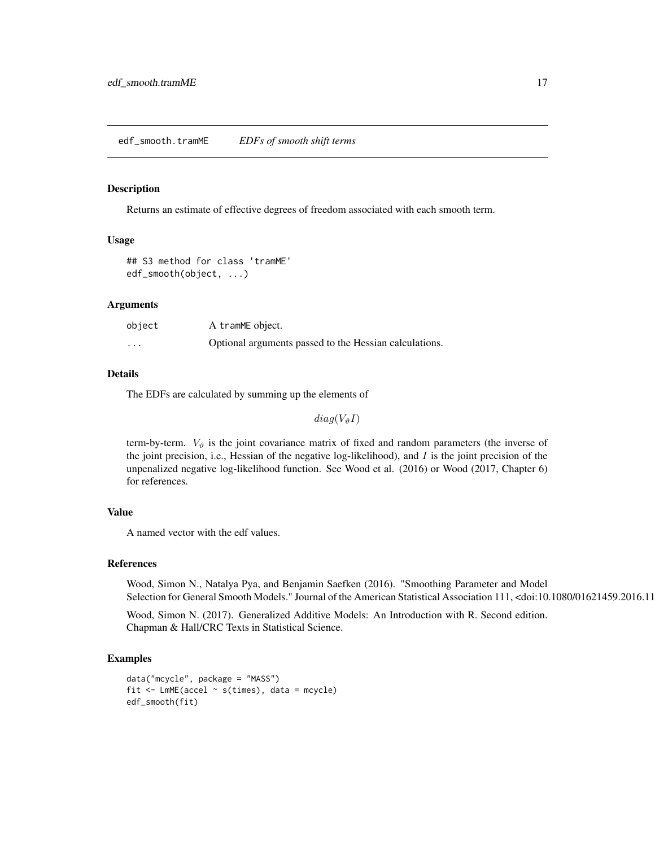<span id="page-16-0"></span>Returns an estimate of effective degrees of freedom associated with each smooth term.

#### Usage

```
## S3 method for class 'tramME'
edf_smooth(object, ...)
```
#### Arguments

| object | A tramME object.                                       |
|--------|--------------------------------------------------------|
| .      | Optional arguments passed to the Hessian calculations. |

#### Details

The EDFs are calculated by summing up the elements of

 $diag(V_{\vartheta}I)$ 

term-by-term.  $V_{\vartheta}$  is the joint covariance matrix of fixed and random parameters (the inverse of the joint precision, i.e., Hessian of the negative log-likelihood), and  $I$  is the joint precision of the unpenalized negative log-likelihood function. See Wood et al. (2016) or Wood (2017, Chapter 6) for references.

#### Value

A named vector with the edf values.

#### References

Wood, Simon N., Natalya Pya, and Benjamin Saefken (2016). "Smoothing Parameter and Model Selection for General Smooth Models." Journal of the American Statistical Association 111, <doi:10.1080/01621459.2016.11

Wood, Simon N. (2017). Generalized Additive Models: An Introduction with R. Second edition. Chapman & Hall/CRC Texts in Statistical Science.

#### Examples

```
data("mcycle", package = "MASS")
fit \leq LmME(accel \sim s(times), data = mcycle)
edf_smooth(fit)
```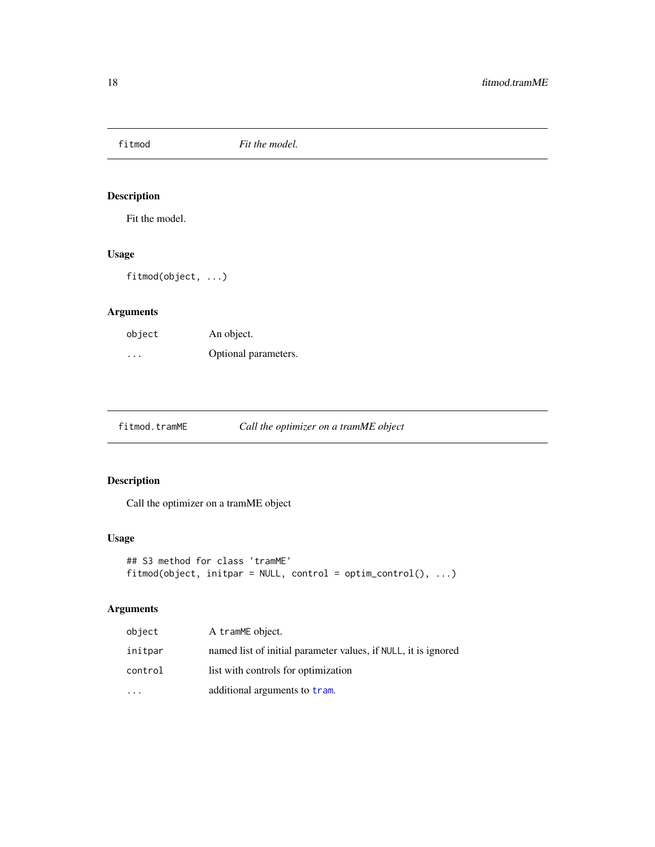<span id="page-17-0"></span>fitmod *Fit the model.*

# Description

Fit the model.

# Usage

fitmod(object, ...)

# Arguments

| object   | An object.           |
|----------|----------------------|
| $\cdots$ | Optional parameters. |

fitmod.tramME *Call the optimizer on a tramME object*

#### Description

Call the optimizer on a tramME object

#### Usage

```
## S3 method for class 'tramME'
fitmod(object, initpar = NULL, control = optim_control(), ...)
```

| object  | A tramME object.                                               |
|---------|----------------------------------------------------------------|
| initpar | named list of initial parameter values, if NULL, it is ignored |
| control | list with controls for optimization                            |
|         | additional arguments to tram.                                  |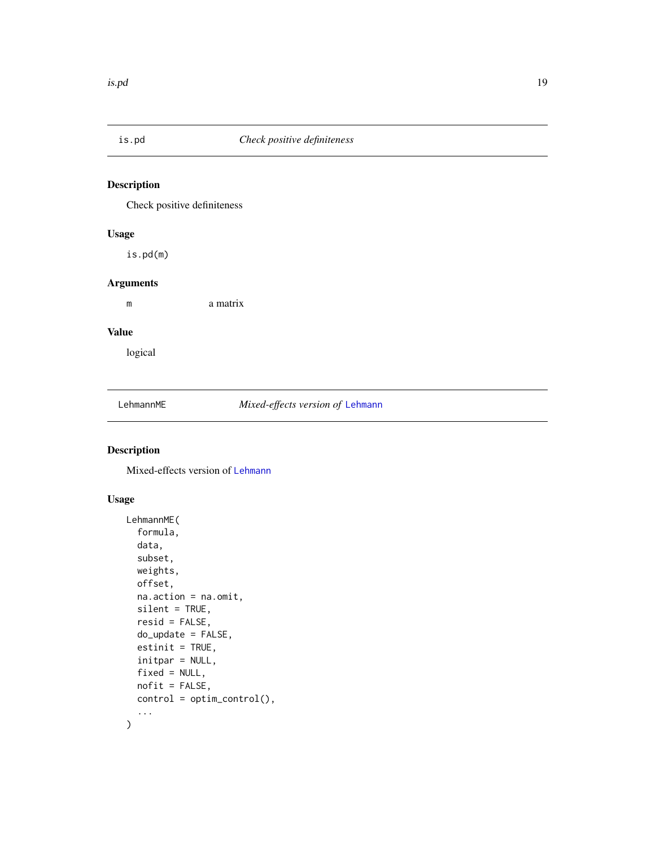<span id="page-18-0"></span>

Check positive definiteness

#### Usage

is.pd(m)

#### Arguments

m a matrix

#### Value

logical

LehmannME *Mixed-effects version of* [Lehmann](#page-0-0)

### Description

Mixed-effects version of [Lehmann](#page-0-0)

#### Usage

```
LehmannME(
  formula,
  data,
  subset,
  weights,
  offset,
  na.action = na.omit,
  silent = TRUE,
  resid = FALSE,
  do_update = FALSE,
  estinit = TRUE,
  initpar = NULL,
  fixed = NULL,
  nofit = FALSE,
  control = optim_control(),
  ...
\mathcal{L}
```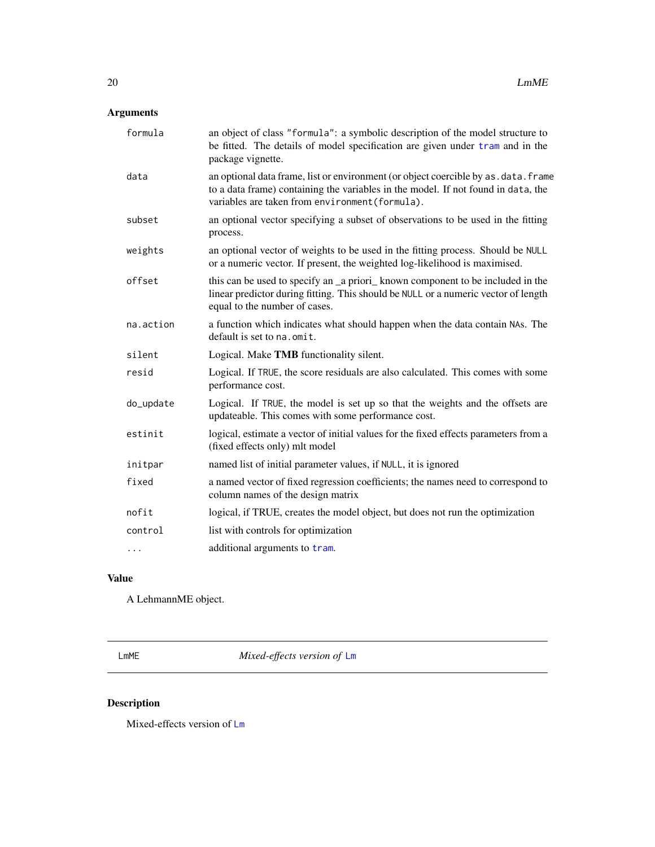# <span id="page-19-0"></span>Arguments

| an object of class "formula": a symbolic description of the model structure to<br>be fitted. The details of model specification are given under tram and in the<br>package vignette.                                         |
|------------------------------------------------------------------------------------------------------------------------------------------------------------------------------------------------------------------------------|
| an optional data frame, list or environment (or object coercible by as . data. frame<br>to a data frame) containing the variables in the model. If not found in data, the<br>variables are taken from environment (formula). |
| an optional vector specifying a subset of observations to be used in the fitting<br>process.                                                                                                                                 |
| an optional vector of weights to be used in the fitting process. Should be NULL<br>or a numeric vector. If present, the weighted log-likelihood is maximised.                                                                |
| this can be used to specify an _a priori_ known component to be included in the<br>linear predictor during fitting. This should be NULL or a numeric vector of length<br>equal to the number of cases.                       |
| a function which indicates what should happen when the data contain NAs. The<br>default is set to na. omit.                                                                                                                  |
| Logical. Make TMB functionality silent.                                                                                                                                                                                      |
| Logical. If TRUE, the score residuals are also calculated. This comes with some<br>performance cost.                                                                                                                         |
| Logical. If TRUE, the model is set up so that the weights and the offsets are<br>updateable. This comes with some performance cost.                                                                                          |
| logical, estimate a vector of initial values for the fixed effects parameters from a<br>(fixed effects only) mlt model                                                                                                       |
| named list of initial parameter values, if NULL, it is ignored                                                                                                                                                               |
| a named vector of fixed regression coefficients; the names need to correspond to<br>column names of the design matrix                                                                                                        |
| logical, if TRUE, creates the model object, but does not run the optimization                                                                                                                                                |
| list with controls for optimization                                                                                                                                                                                          |
| additional arguments to tram.                                                                                                                                                                                                |
|                                                                                                                                                                                                                              |

# Value

A LehmannME object.

<span id="page-19-1"></span>LmME *Mixed-effects version of* [Lm](#page-0-0)

# Description

Mixed-effects version of [Lm](#page-0-0)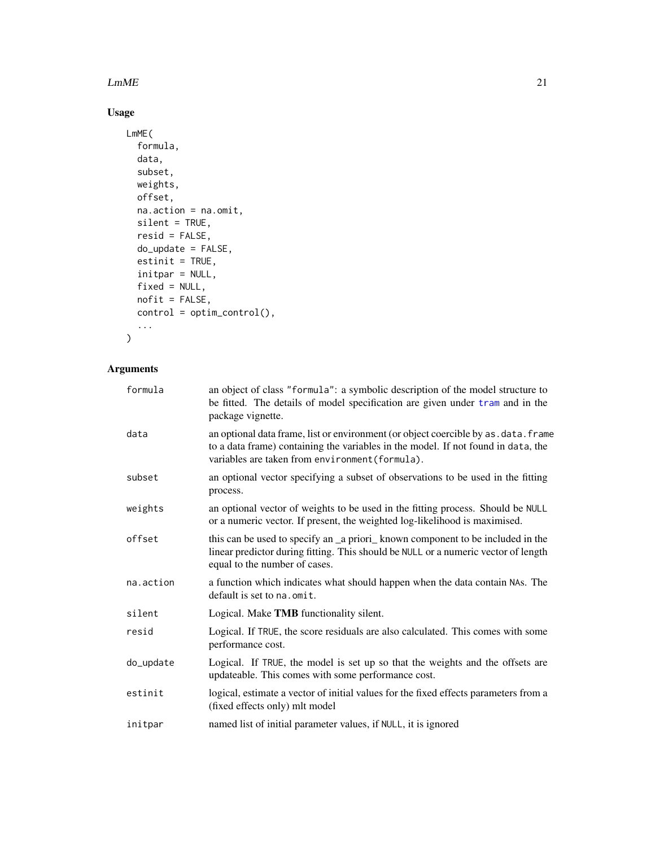#### $LmME$  21

# Usage

```
LmME(
  formula,
  data,
  subset,
  weights,
  offset,
  na.action = na.omit,
  silent = TRUE,
  resid = FALSE,
  do_update = FALSE,
  estinit = TRUE,initpar = NULL,
  fixed = NULL,
  nofit = FALSE,
  control = optim_control(),
  ...
\,
```

| formula   | an object of class "formula": a symbolic description of the model structure to<br>be fitted. The details of model specification are given under tram and in the<br>package vignette.                                         |
|-----------|------------------------------------------------------------------------------------------------------------------------------------------------------------------------------------------------------------------------------|
| data      | an optional data frame, list or environment (or object coercible by as . data. frame<br>to a data frame) containing the variables in the model. If not found in data, the<br>variables are taken from environment (formula). |
| subset    | an optional vector specifying a subset of observations to be used in the fitting<br>process.                                                                                                                                 |
| weights   | an optional vector of weights to be used in the fitting process. Should be NULL<br>or a numeric vector. If present, the weighted log-likelihood is maximised.                                                                |
| offset    | this can be used to specify an _a priori_known component to be included in the<br>linear predictor during fitting. This should be NULL or a numeric vector of length<br>equal to the number of cases.                        |
| na.action | a function which indicates what should happen when the data contain NAs. The<br>default is set to na. omit.                                                                                                                  |
| silent    | Logical. Make TMB functionality silent.                                                                                                                                                                                      |
| resid     | Logical. If TRUE, the score residuals are also calculated. This comes with some<br>performance cost.                                                                                                                         |
| do_update | Logical. If TRUE, the model is set up so that the weights and the offsets are<br>updateable. This comes with some performance cost.                                                                                          |
| estinit   | logical, estimate a vector of initial values for the fixed effects parameters from a<br>(fixed effects only) mlt model                                                                                                       |
| initpar   | named list of initial parameter values, if NULL, it is ignored                                                                                                                                                               |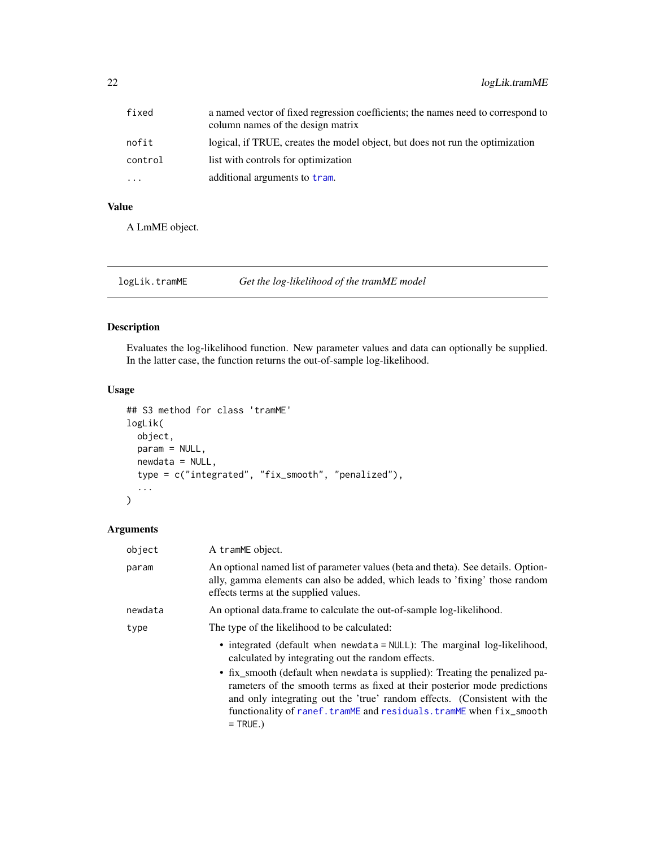<span id="page-21-0"></span>

| fixed   | a named vector of fixed regression coefficients; the names need to correspond to<br>column names of the design matrix |
|---------|-----------------------------------------------------------------------------------------------------------------------|
| nofit   | logical, if TRUE, creates the model object, but does not run the optimization                                         |
| control | list with controls for optimization                                                                                   |
| .       | additional arguments to tram.                                                                                         |

# Value

A LmME object.

#### logLik.tramME *Get the log-likelihood of the tramME model*

#### Description

Evaluates the log-likelihood function. New parameter values and data can optionally be supplied. In the latter case, the function returns the out-of-sample log-likelihood.

#### Usage

```
## S3 method for class 'tramME'
logLik(
 object,
 param = NULL,
 newdata = NULL,
  type = c("integrated", "fix_smooth", "penalized"),
  ...
\mathcal{L}
```

| object  | A tramME object.                                                                                                                                                                                                                                                                                                         |  |
|---------|--------------------------------------------------------------------------------------------------------------------------------------------------------------------------------------------------------------------------------------------------------------------------------------------------------------------------|--|
| param   | An optional named list of parameter values (beta and theta). See details. Option-<br>ally, gamma elements can also be added, which leads to 'fixing' those random<br>effects terms at the supplied values.                                                                                                               |  |
| newdata | An optional data frame to calculate the out-of-sample log-likelihood.                                                                                                                                                                                                                                                    |  |
| type    | The type of the likelihood to be calculated:                                                                                                                                                                                                                                                                             |  |
|         | • integrated (default when newdata = NULL): The marginal log-likelihood,<br>calculated by integrating out the random effects.                                                                                                                                                                                            |  |
|         | • fix_smooth (default when newdata is supplied): Treating the penalized pa-<br>rameters of the smooth terms as fixed at their posterior mode predictions<br>and only integrating out the 'true' random effects. (Consistent with the<br>functionality of ranef.tramME and residuals.tramME when fix_smooth<br>$=$ TRUE.) |  |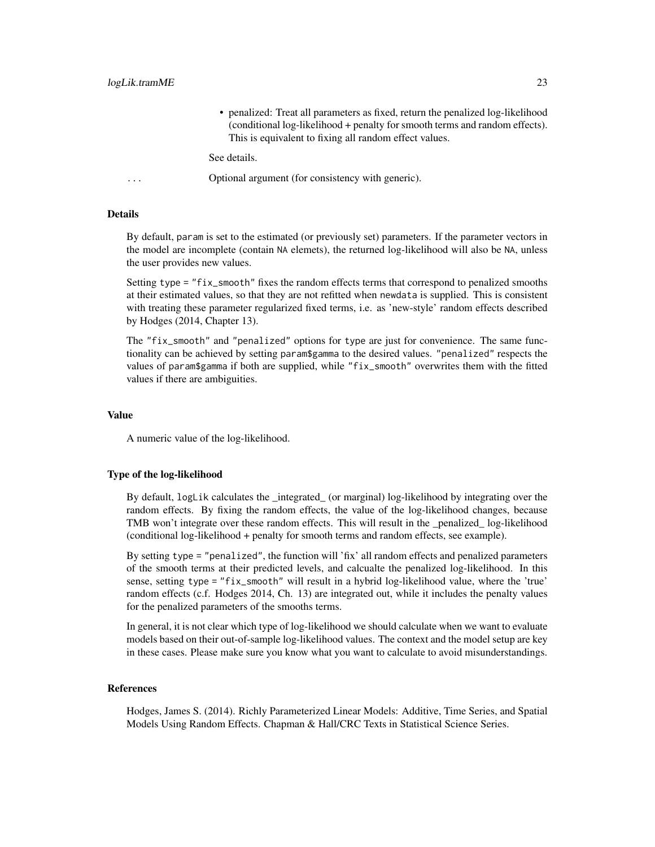• penalized: Treat all parameters as fixed, return the penalized log-likelihood (conditional log-likelihood + penalty for smooth terms and random effects). This is equivalent to fixing all random effect values.

See details.

```
... Optional argument (for consistency with generic).
```
#### Details

By default, param is set to the estimated (or previously set) parameters. If the parameter vectors in the model are incomplete (contain NA elemets), the returned log-likelihood will also be NA, unless the user provides new values.

Setting type = "fix\_smooth" fixes the random effects terms that correspond to penalized smooths at their estimated values, so that they are not refitted when newdata is supplied. This is consistent with treating these parameter regularized fixed terms, i.e. as 'new-style' random effects described by Hodges (2014, Chapter 13).

The "fix\_smooth" and "penalized" options for type are just for convenience. The same functionality can be achieved by setting param\$gamma to the desired values. "penalized" respects the values of param\$gamma if both are supplied, while "fix\_smooth" overwrites them with the fitted values if there are ambiguities.

#### Value

A numeric value of the log-likelihood.

#### Type of the log-likelihood

By default, logLik calculates the \_integrated\_ (or marginal) log-likelihood by integrating over the random effects. By fixing the random effects, the value of the log-likelihood changes, because TMB won't integrate over these random effects. This will result in the \_penalized\_ log-likelihood (conditional log-likelihood + penalty for smooth terms and random effects, see example).

By setting type = "penalized", the function will 'fix' all random effects and penalized parameters of the smooth terms at their predicted levels, and calcualte the penalized log-likelihood. In this sense, setting type = "fix\_smooth" will result in a hybrid log-likelihood value, where the 'true' random effects (c.f. Hodges 2014, Ch. 13) are integrated out, while it includes the penalty values for the penalized parameters of the smooths terms.

In general, it is not clear which type of log-likelihood we should calculate when we want to evaluate models based on their out-of-sample log-likelihood values. The context and the model setup are key in these cases. Please make sure you know what you want to calculate to avoid misunderstandings.

#### References

Hodges, James S. (2014). Richly Parameterized Linear Models: Additive, Time Series, and Spatial Models Using Random Effects. Chapman & Hall/CRC Texts in Statistical Science Series.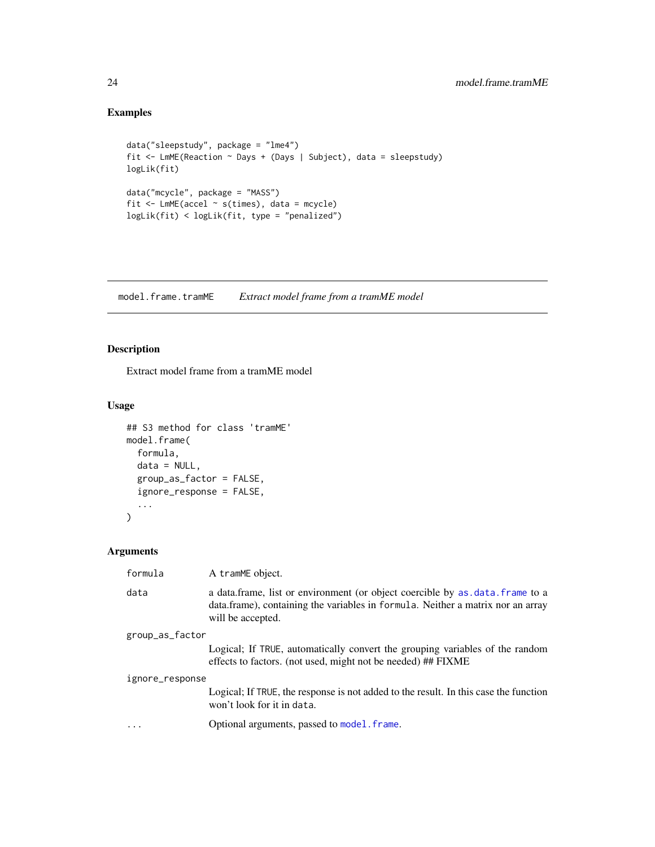# Examples

```
data("sleepstudy", package = "lme4")
fit <- LmME(Reaction ~ Days + (Days | Subject), data = sleepstudy)
logLik(fit)
data("mcycle", package = "MASS")
fit <- LmME(accel ~ s(times), data = mcycle)
logLik(fit) < logLik(fit, type = "penalized")
```
model.frame.tramME *Extract model frame from a tramME model*

# Description

Extract model frame from a tramME model

# Usage

```
## S3 method for class 'tramME'
model.frame(
 formula,
 data = NULL,group_as_factor = FALSE,
  ignore_response = FALSE,
  ...
\mathcal{L}
```

| formula         | A tramME object.                                                                                                                                                                     |
|-----------------|--------------------------------------------------------------------------------------------------------------------------------------------------------------------------------------|
| data            | a data.frame, list or environment (or object coercible by as data.frame to a<br>data.frame), containing the variables in formula. Neither a matrix nor an array<br>will be accepted. |
| group_as_factor |                                                                                                                                                                                      |
|                 | Logical; If TRUE, automatically convert the grouping variables of the random<br>effects to factors. (not used, might not be needed) ## FIXME                                         |
| ignore_response |                                                                                                                                                                                      |
|                 | Logical; If TRUE, the response is not added to the result. In this case the function<br>won't look for it in data.                                                                   |
| $\ddotsc$       | Optional arguments, passed to model. frame.                                                                                                                                          |

<span id="page-23-0"></span>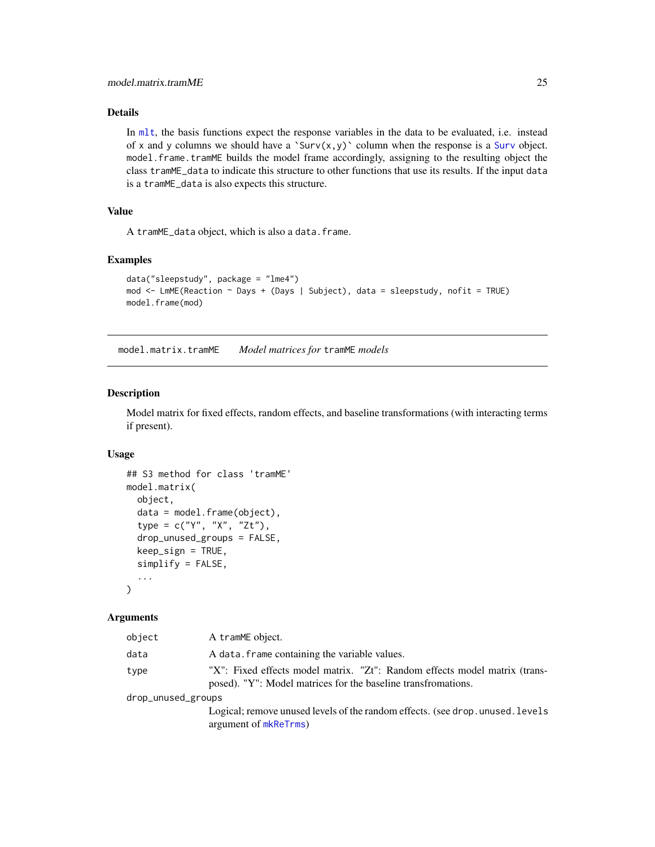#### <span id="page-24-0"></span>Details

In [mlt](#page-0-0), the basis functions expect the response variables in the data to be evaluated, i.e. instead of x and y columns we should have a '[Surv](#page-0-0) $(x,y)$ ' column when the response is a Surv object. model.frame.tramME builds the model frame accordingly, assigning to the resulting object the class tramME\_data to indicate this structure to other functions that use its results. If the input data is a tramME\_data is also expects this structure.

#### Value

A tramME\_data object, which is also a data.frame.

#### Examples

```
data("sleepstudy", package = "lme4")
mod <- LmME(Reaction ~ Days + (Days | Subject), data = sleepstudy, nofit = TRUE)
model.frame(mod)
```
model.matrix.tramME *Model matrices for* tramME *models*

#### Description

Model matrix for fixed effects, random effects, and baseline transformations (with interacting terms if present).

#### Usage

```
## S3 method for class 'tramME'
model.matrix(
  object,
  data = model.frame(object),
  type = c("Y", "X", "Zt"),
  drop_unused_groups = FALSE,
  keep_sign = TRUE,
  simplify = FALSE,
  ...
\lambda
```
#### Arguments

| object             | A tramME object.                                                                                                                            |
|--------------------|---------------------------------------------------------------------------------------------------------------------------------------------|
| data               | A data. frame containing the variable values.                                                                                               |
| type               | "X": Fixed effects model matrix. "Zt": Random effects model matrix (trans-<br>posed). "Y": Model matrices for the baseline transfromations. |
| drop_unused_groups |                                                                                                                                             |
|                    | Logical; remove unused levels of the random effects. (see drop. unused. levels                                                              |

argument of [mkReTrms](#page-0-0))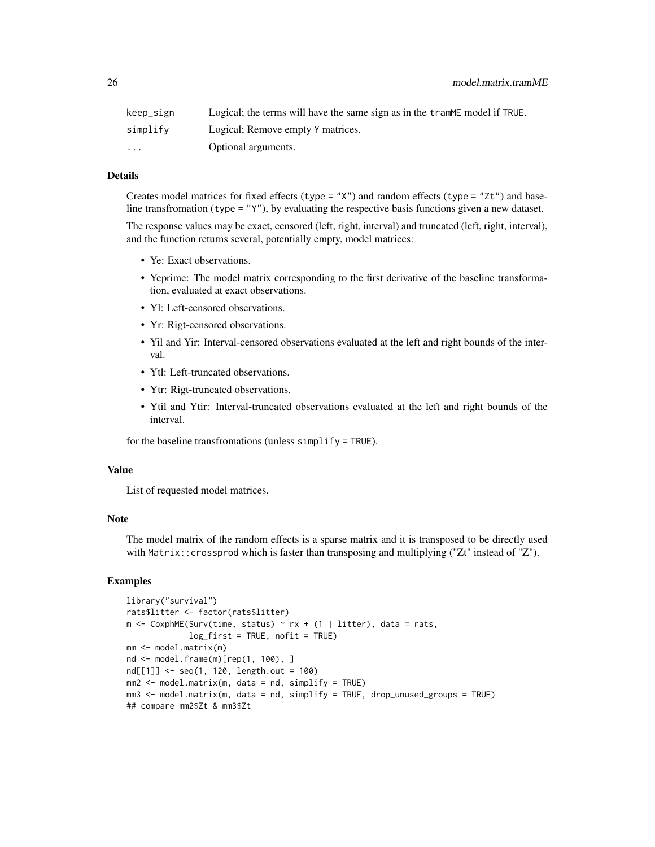| keep_sign               | Logical; the terms will have the same sign as in the trammer model if TRUE. |
|-------------------------|-----------------------------------------------------------------------------|
| simplify                | Logical; Remove empty Y matrices.                                           |
| $\cdot$ $\cdot$ $\cdot$ | Optional arguments.                                                         |

#### Details

Creates model matrices for fixed effects (type =  $"X"$ ) and random effects (type =  $"Zt"$ ) and baseline transfromation (type = "Y"), by evaluating the respective basis functions given a new dataset.

The response values may be exact, censored (left, right, interval) and truncated (left, right, interval), and the function returns several, potentially empty, model matrices:

- Ye: Exact observations.
- Yeprime: The model matrix corresponding to the first derivative of the baseline transformation, evaluated at exact observations.
- Yl: Left-censored observations.
- Yr: Rigt-censored observations.
- Yil and Yir: Interval-censored observations evaluated at the left and right bounds of the interval.
- Ytl: Left-truncated observations.
- Ytr: Rigt-truncated observations.
- Ytil and Ytir: Interval-truncated observations evaluated at the left and right bounds of the interval.

for the baseline transfromations (unless simplify = TRUE).

#### Value

List of requested model matrices.

#### Note

The model matrix of the random effects is a sparse matrix and it is transposed to be directly used with Matrix::crossprod which is faster than transposing and multiplying ("Zt" instead of "Z").

#### Examples

```
library("survival")
rats$litter <- factor(rats$litter)
m \leq CoxphME(Surv(time, status) \sim rx + (1 | litter), data = rats,
             log_first = TRUE, nofit = TRUE)
mm <- model.matrix(m)
nd <- model.frame(m)[rep(1, 100), ]
nd[[1]] <- seq(1, 120, length.out = 100)
mm2 < - model.matrix(m, data = nd, simplify = TRUE)
mm3 <- model.matrix(m, data = nd, simplify = TRUE, drop_unused_groups = TRUE)
## compare mm2$Zt & mm3$Zt
```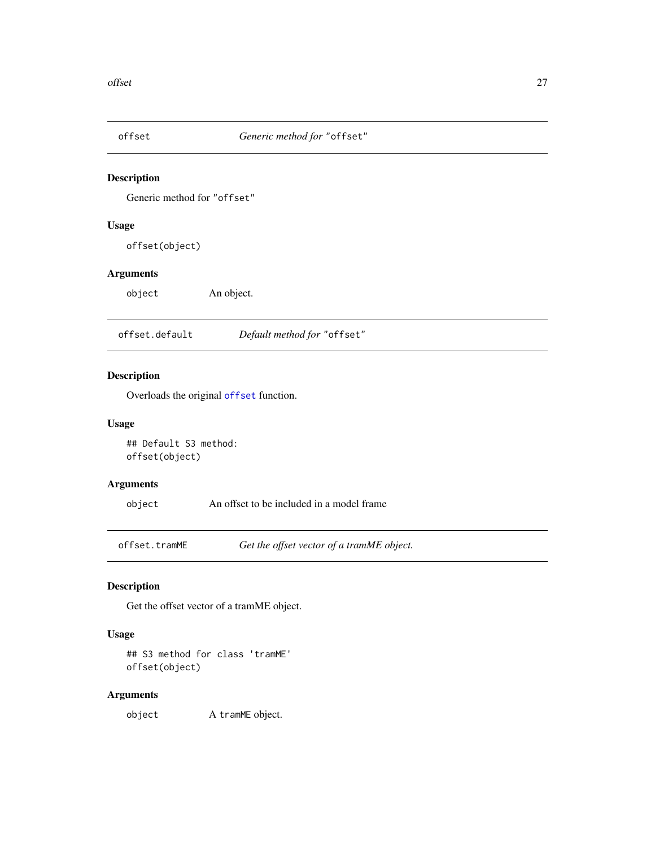<span id="page-26-1"></span><span id="page-26-0"></span>

Generic method for "offset"

#### Usage

offset(object)

#### Arguments

object An object.

offset.default *Default method for* "offset"

#### Description

Overloads the original [offset](#page-26-1) function.

#### Usage

## Default S3 method: offset(object)

#### Arguments

object An offset to be included in a model frame

offset.tramME *Get the offset vector of a tramME object.*

#### Description

Get the offset vector of a tramME object.

### Usage

## S3 method for class 'tramME' offset(object)

#### Arguments

object A tramME object.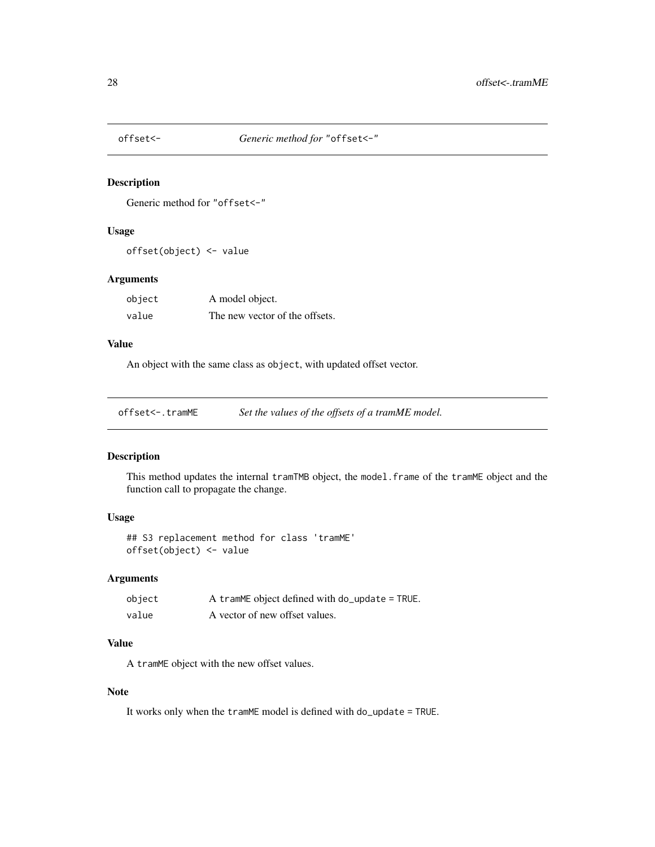<span id="page-27-0"></span>

Generic method for "offset<-"

#### Usage

offset(object) <- value

#### Arguments

| object | A model object.                |
|--------|--------------------------------|
| value  | The new vector of the offsets. |

#### Value

An object with the same class as object, with updated offset vector.

offset<-.tramME *Set the values of the offsets of a tramME model.*

#### Description

This method updates the internal tramTMB object, the model.frame of the tramME object and the function call to propagate the change.

### Usage

## S3 replacement method for class 'tramME' offset(object) <- value

#### Arguments

| object | A tramME object defined with do_update = TRUE. |
|--------|------------------------------------------------|
| value  | A vector of new offset values.                 |

#### Value

A tramME object with the new offset values.

#### Note

It works only when the tramME model is defined with do\_update = TRUE.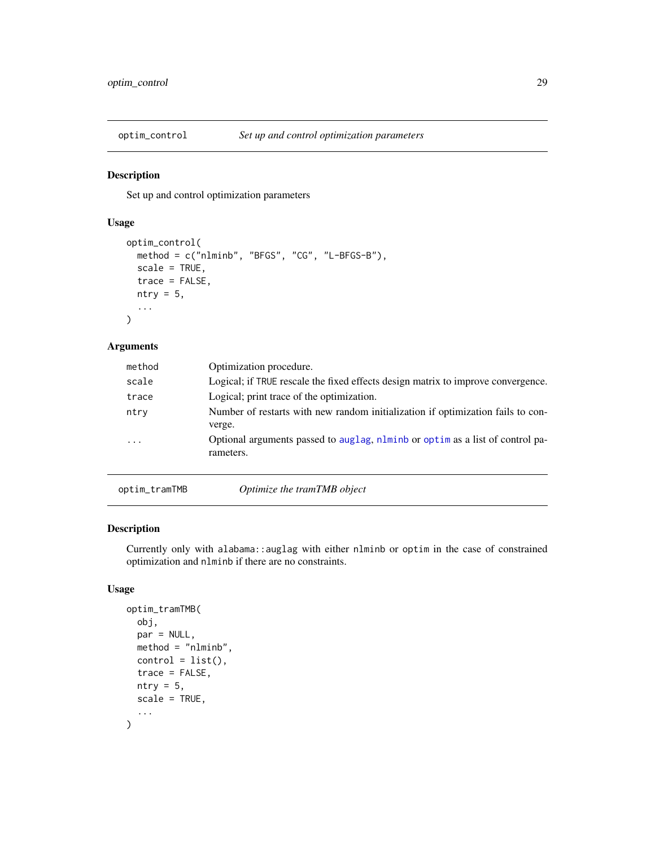<span id="page-28-0"></span>

Set up and control optimization parameters

#### Usage

```
optim_control(
 method = c("nlminb", "BFGS", "CG", "L-BFGS-B"),
  scale = TRUE,
  trace = FALSE,
 ntry = 5,
  ...
)
```
### Arguments

| method   |        | Optimization procedure.                                                                    |
|----------|--------|--------------------------------------------------------------------------------------------|
| scale    |        | Logical; if TRUE rescale the fixed effects design matrix to improve convergence.           |
| trace    |        | Logical; print trace of the optimization.                                                  |
| ntry     | verge. | Number of restarts with new random initialization if optimization fails to con-            |
| $\cdots$ |        | Optional arguments passed to auglag, nlminb or optim as a list of control pa-<br>rameters. |
|          |        |                                                                                            |

optim\_tramTMB *Optimize the tramTMB object*

# Description

Currently only with alabama::auglag with either nlminb or optim in the case of constrained optimization and nlminb if there are no constraints.

#### Usage

```
optim_tramTMB(
  obj,
 par = NULL,
 method = "nlminb",
 control = list(),trace = FALSE,
 ntry = 5,
  scale = TRUE,
  ...
)
```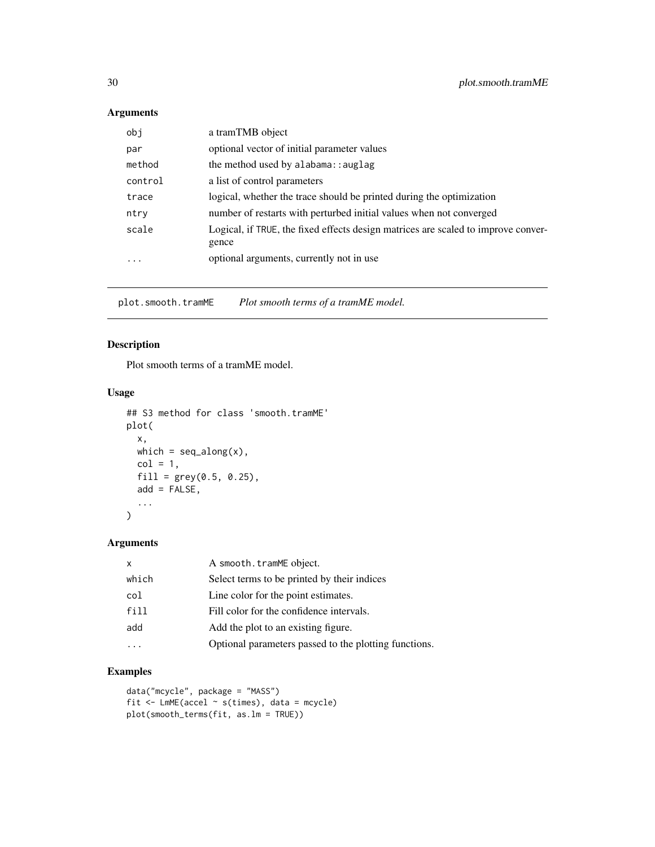# <span id="page-29-0"></span>Arguments

| obj     | a tramTMB object                                                                           |
|---------|--------------------------------------------------------------------------------------------|
| par     | optional vector of initial parameter values                                                |
| method  | the method used by alabama: : auglag                                                       |
| control | a list of control parameters                                                               |
| trace   | logical, whether the trace should be printed during the optimization                       |
| ntry    | number of restarts with perturbed initial values when not converged                        |
| scale   | Logical, if TRUE, the fixed effects design matrices are scaled to improve conver-<br>gence |
| $\cdot$ | optional arguments, currently not in use                                                   |

plot.smooth.tramME *Plot smooth terms of a tramME model.*

### Description

Plot smooth terms of a tramME model.

#### Usage

```
## S3 method for class 'smooth.tramME'
plot(
  x,
  which = seq\_along(x),
  col = 1,
  fill = grey(0.5, 0.25),add = FALSE,...
\mathcal{L}
```
#### Arguments

| $\mathsf{x}$ | A smooth.tramME object.                               |
|--------------|-------------------------------------------------------|
| which        | Select terms to be printed by their indices           |
| col          | Line color for the point estimates.                   |
| fill         | Fill color for the confidence intervals.              |
| add          | Add the plot to an existing figure.                   |
|              | Optional parameters passed to the plotting functions. |

#### Examples

```
data("mcycle", package = "MASS")
fit <- LmME(accel ~ s(times), data = mcycle)
plot(smooth_terms(fit, as.lm = TRUE))
```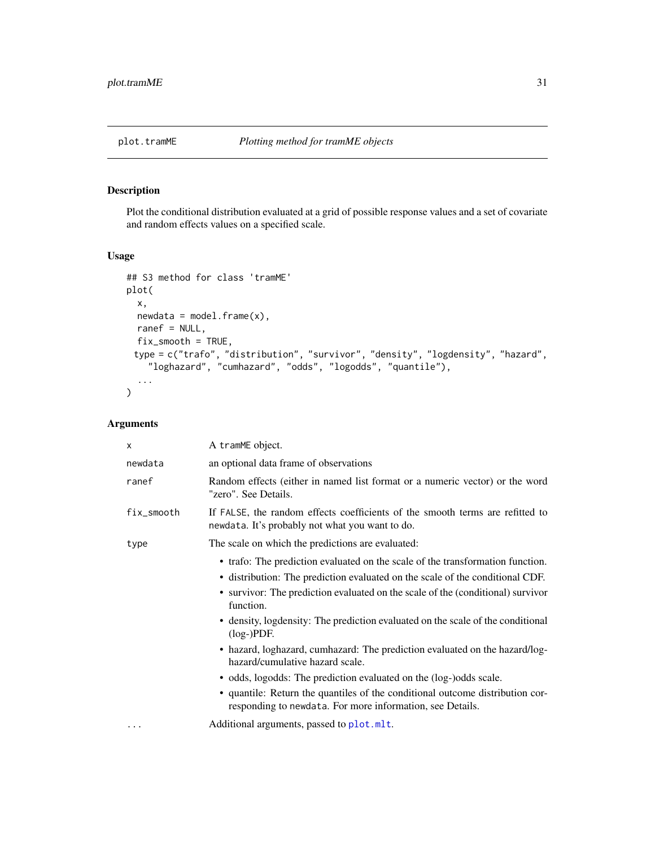<span id="page-30-0"></span>

Plot the conditional distribution evaluated at a grid of possible response values and a set of covariate and random effects values on a specified scale.

#### Usage

```
## S3 method for class 'tramME'
plot(
 x,
 newdata = model-frame(x),ranef = NULL,
 fix_smooth = TRUE,
 type = c("trafo", "distribution", "survivor", "density", "logdensity", "hazard",
    "loghazard", "cumhazard", "odds", "logodds", "quantile"),
  ...
)
```

| X          | A tramME object.                                                                                                                           |
|------------|--------------------------------------------------------------------------------------------------------------------------------------------|
| newdata    | an optional data frame of observations                                                                                                     |
| ranef      | Random effects (either in named list format or a numeric vector) or the word<br>"zero". See Details.                                       |
| fix_smooth | If FALSE, the random effects coefficients of the smooth terms are refitted to<br>newdata. It's probably not what you want to do.           |
| type       | The scale on which the predictions are evaluated:                                                                                          |
|            | • trafo: The prediction evaluated on the scale of the transformation function.                                                             |
|            | • distribution: The prediction evaluated on the scale of the conditional CDF.                                                              |
|            | • survivor: The prediction evaluated on the scale of the (conditional) survivor<br>function.                                               |
|            | • density, logdensity: The prediction evaluated on the scale of the conditional<br>$(log-)PDF.$                                            |
|            | • hazard, loghazard, cumhazard: The prediction evaluated on the hazard/log-<br>hazard/cumulative hazard scale.                             |
|            | • odds, logodds: The prediction evaluated on the (log-)odds scale.                                                                         |
|            | • quantile: Return the quantiles of the conditional outcome distribution cor-<br>responding to newdata. For more information, see Details. |
| .          | Additional arguments, passed to plot.mlt.                                                                                                  |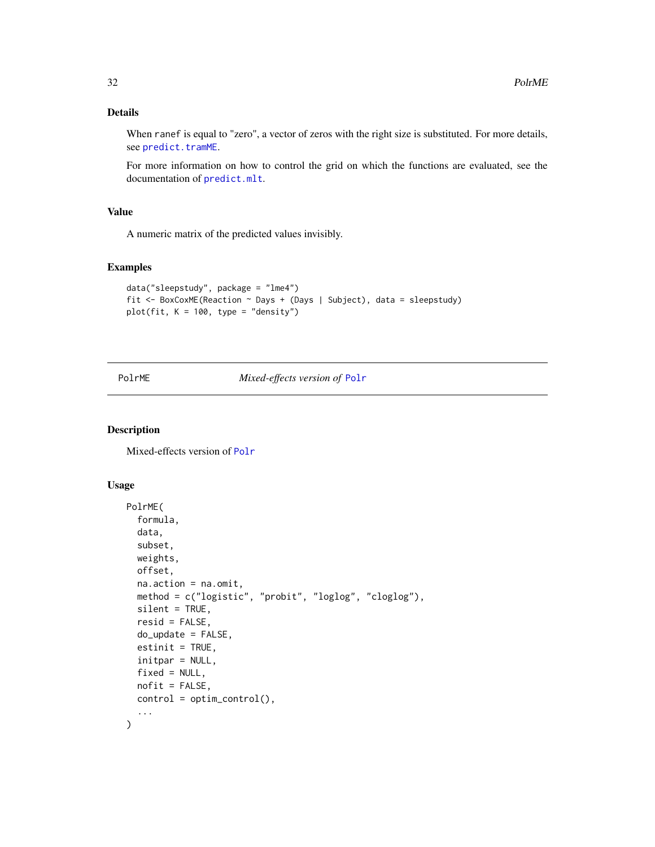#### <span id="page-31-0"></span>Details

When ranef is equal to "zero", a vector of zeros with the right size is substituted. For more details, see [predict.tramME](#page-33-1).

For more information on how to control the grid on which the functions are evaluated, see the documentation of [predict.mlt](#page-0-0).

#### Value

A numeric matrix of the predicted values invisibly.

#### Examples

```
data("sleepstudy", package = "lme4")
fit <- BoxCoxME(Reaction ~ Days + (Days | Subject), data = sleepstudy)
plot(fit, K = 100, type = "density")
```
#### PolrME *Mixed-effects version of* [Polr](#page-0-0)

#### Description

Mixed-effects version of [Polr](#page-0-0)

#### Usage

```
PolrME(
  formula,
  data,
  subset,
  weights,
 offset,
  na.action = na.omit,
 method = c("logistic", "probit", "loglog", "cloglog"),
  silent = TRUE,
  resid = FALSE,
  do_update = FALSE,
  estinit = TRUE,
  initpar = NULL,
  fixed = NULL,
  nofit = FALSE,
  control = optim\_control(),...
)
```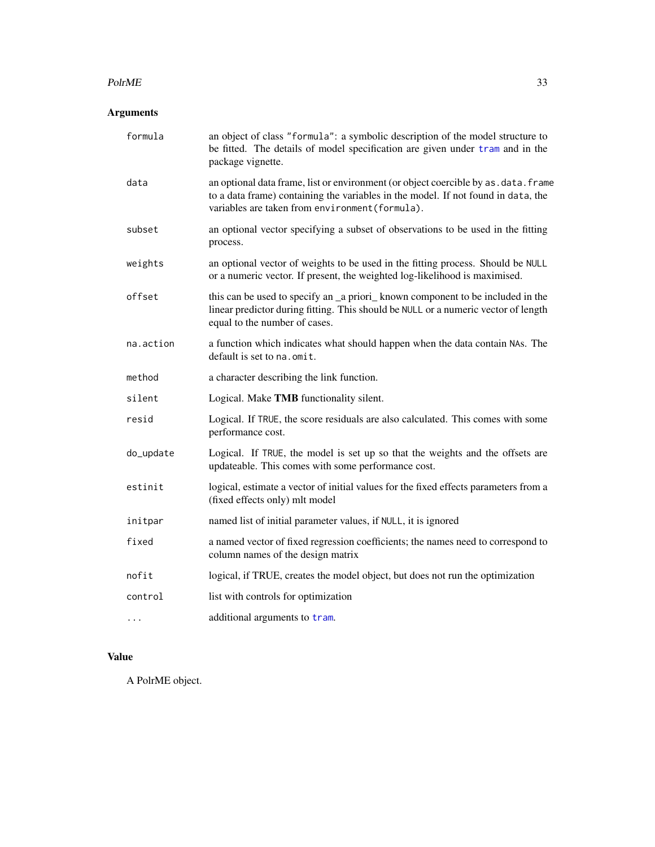#### <span id="page-32-0"></span> $PolrME$  33

# Arguments

| formula   | an object of class "formula": a symbolic description of the model structure to<br>be fitted. The details of model specification are given under tram and in the<br>package vignette.                                         |
|-----------|------------------------------------------------------------------------------------------------------------------------------------------------------------------------------------------------------------------------------|
| data      | an optional data frame, list or environment (or object coercible by as . data. frame<br>to a data frame) containing the variables in the model. If not found in data, the<br>variables are taken from environment (formula). |
| subset    | an optional vector specifying a subset of observations to be used in the fitting<br>process.                                                                                                                                 |
| weights   | an optional vector of weights to be used in the fitting process. Should be NULL<br>or a numeric vector. If present, the weighted log-likelihood is maximised.                                                                |
| offset    | this can be used to specify an _a priori_ known component to be included in the<br>linear predictor during fitting. This should be NULL or a numeric vector of length<br>equal to the number of cases.                       |
| na.action | a function which indicates what should happen when the data contain NAs. The<br>default is set to na.omit.                                                                                                                   |
| method    | a character describing the link function.                                                                                                                                                                                    |
| silent    | Logical. Make TMB functionality silent.                                                                                                                                                                                      |
| resid     | Logical. If TRUE, the score residuals are also calculated. This comes with some<br>performance cost.                                                                                                                         |
| do_update | Logical. If TRUE, the model is set up so that the weights and the offsets are<br>updateable. This comes with some performance cost.                                                                                          |
| estinit   | logical, estimate a vector of initial values for the fixed effects parameters from a<br>(fixed effects only) mlt model                                                                                                       |
| initpar   | named list of initial parameter values, if NULL, it is ignored                                                                                                                                                               |
| fixed     | a named vector of fixed regression coefficients; the names need to correspond to<br>column names of the design matrix                                                                                                        |
| nofit     | logical, if TRUE, creates the model object, but does not run the optimization                                                                                                                                                |
| control   | list with controls for optimization                                                                                                                                                                                          |
| .         | additional arguments to tram.                                                                                                                                                                                                |

# Value

A PolrME object.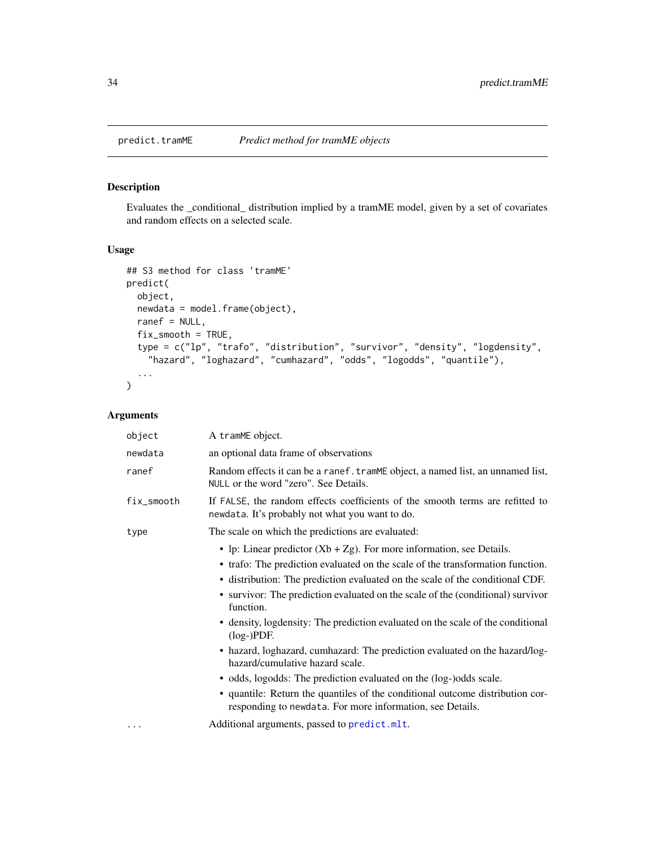<span id="page-33-1"></span><span id="page-33-0"></span>

Evaluates the \_conditional\_ distribution implied by a tramME model, given by a set of covariates and random effects on a selected scale.

#### Usage

```
## S3 method for class 'tramME'
predict(
 object,
 newdata = model.frame(object),
  ranef = NULL,
  fix_smooth = TRUE,
  type = c("lp", "trafo", "distribution", "survivor", "density", "logdensity",
    "hazard", "loghazard", "cumhazard", "odds", "logodds", "quantile"),
  ...
\mathcal{L}
```

| object     | A tramME object.                                                                                                                                                                                                                                                                                                                                                                                                                                                                                                                                                                                                                                                                                                                                                                                                                    |
|------------|-------------------------------------------------------------------------------------------------------------------------------------------------------------------------------------------------------------------------------------------------------------------------------------------------------------------------------------------------------------------------------------------------------------------------------------------------------------------------------------------------------------------------------------------------------------------------------------------------------------------------------------------------------------------------------------------------------------------------------------------------------------------------------------------------------------------------------------|
| newdata    | an optional data frame of observations                                                                                                                                                                                                                                                                                                                                                                                                                                                                                                                                                                                                                                                                                                                                                                                              |
| ranef      | Random effects it can be a ranef. tramME object, a named list, an unnamed list,<br>NULL or the word "zero". See Details.                                                                                                                                                                                                                                                                                                                                                                                                                                                                                                                                                                                                                                                                                                            |
| fix_smooth | If FALSE, the random effects coefficients of the smooth terms are refitted to<br>newdata. It's probably not what you want to do.                                                                                                                                                                                                                                                                                                                                                                                                                                                                                                                                                                                                                                                                                                    |
| type       | The scale on which the predictions are evaluated:                                                                                                                                                                                                                                                                                                                                                                                                                                                                                                                                                                                                                                                                                                                                                                                   |
|            | • lp: Linear predictor $(Xb + Zg)$ . For more information, see Details.<br>• trafo: The prediction evaluated on the scale of the transformation function.<br>• distribution: The prediction evaluated on the scale of the conditional CDF.<br>• survivor: The prediction evaluated on the scale of the (conditional) survivor<br>function.<br>• density, logdensity: The prediction evaluated on the scale of the conditional<br>$(log-)PDF.$<br>• hazard, loghazard, cumhazard: The prediction evaluated on the hazard/log-<br>hazard/cumulative hazard scale.<br>• odds, logodds: The prediction evaluated on the (log-)odds scale.<br>• quantile: Return the quantiles of the conditional outcome distribution cor-<br>responding to newdata. For more information, see Details.<br>Additional arguments, passed to predict.mlt. |
|            |                                                                                                                                                                                                                                                                                                                                                                                                                                                                                                                                                                                                                                                                                                                                                                                                                                     |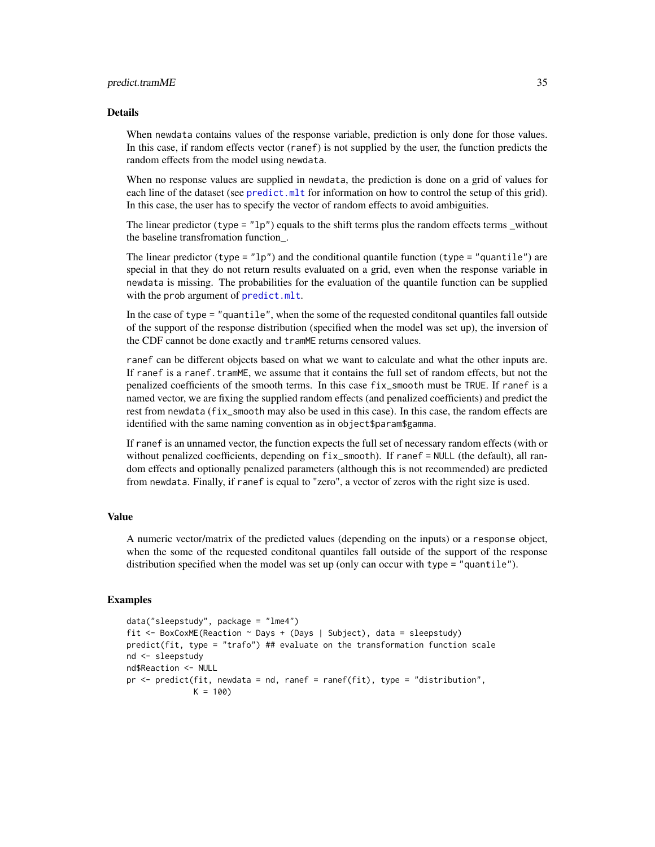#### <span id="page-34-0"></span>Details

When newdata contains values of the response variable, prediction is only done for those values. In this case, if random effects vector (ranef) is not supplied by the user, the function predicts the random effects from the model using newdata.

When no response values are supplied in newdata, the prediction is done on a grid of values for each line of the dataset (see [predict.mlt](#page-0-0) for information on how to control the setup of this grid). In this case, the user has to specify the vector of random effects to avoid ambiguities.

The linear predictor (type  $=$  "1p") equals to the shift terms plus the random effects terms \_without the baseline transfromation function\_.

The linear predictor (type =  $"lp"$ ) and the conditional quantile function (type = "quantile") are special in that they do not return results evaluated on a grid, even when the response variable in newdata is missing. The probabilities for the evaluation of the quantile function can be supplied with the prob argument of [predict.mlt](#page-0-0).

In the case of type = "quantile", when the some of the requested conditonal quantiles fall outside of the support of the response distribution (specified when the model was set up), the inversion of the CDF cannot be done exactly and tramME returns censored values.

ranef can be different objects based on what we want to calculate and what the other inputs are. If ranef is a ranef.tramME, we assume that it contains the full set of random effects, but not the penalized coefficients of the smooth terms. In this case fix\_smooth must be TRUE. If ranef is a named vector, we are fixing the supplied random effects (and penalized coefficients) and predict the rest from newdata (fix\_smooth may also be used in this case). In this case, the random effects are identified with the same naming convention as in object\$param\$gamma.

If ranef is an unnamed vector, the function expects the full set of necessary random effects (with or without penalized coefficients, depending on  $fix\_smooth$ ). If ranef = NULL (the default), all random effects and optionally penalized parameters (although this is not recommended) are predicted from newdata. Finally, if ranef is equal to "zero", a vector of zeros with the right size is used.

#### Value

A numeric vector/matrix of the predicted values (depending on the inputs) or a response object, when the some of the requested conditonal quantiles fall outside of the support of the response distribution specified when the model was set up (only can occur with type = "quantile").

#### Examples

```
data("sleepstudy", package = "lme4")
fit <- BoxCoxME(Reaction ~ Days + (Days | Subject), data = sleepstudy)
predict(fit, type = "trafo") ## evaluate on the transformation function scale
nd <- sleepstudy
nd$Reaction <- NULL
pr \leq predict(fit, newdata = nd, ranef = ranef(fit), type = "distribution",
              K = 100
```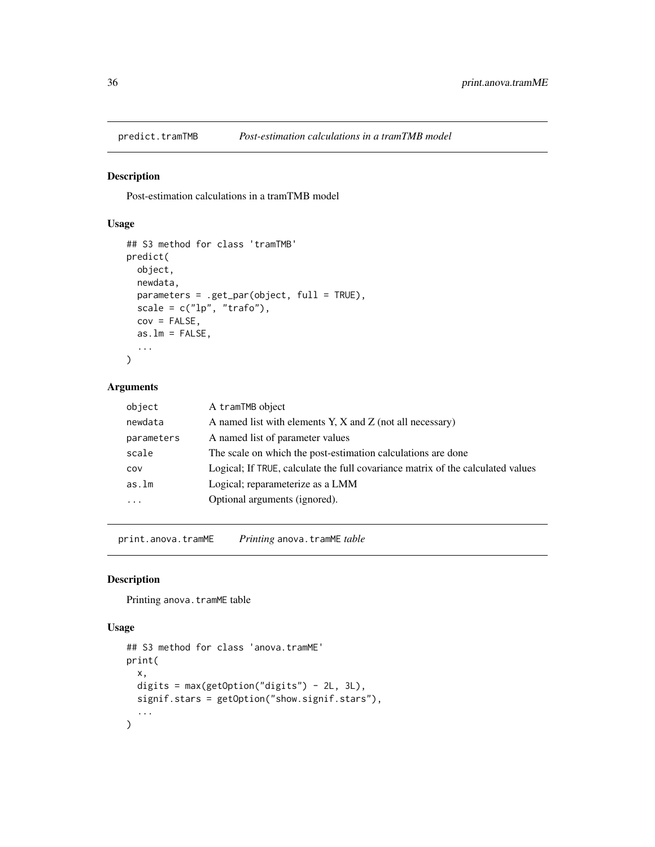<span id="page-35-0"></span>

Post-estimation calculations in a tramTMB model

### Usage

```
## S3 method for class 'tramTMB'
predict(
 object,
 newdata,
 parameters = .get_par(object, full = TRUE),
  scale = c("lp", "trafo"),cov = FALSE,as.lm = FALSE,...
\mathcal{L}
```
#### Arguments

| object     | A tramTMB object                                                                |
|------------|---------------------------------------------------------------------------------|
| newdata    | A named list with elements Y, X and Z (not all necessary)                       |
| parameters | A named list of parameter values                                                |
| scale      | The scale on which the post-estimation calculations are done                    |
| COV        | Logical; If TRUE, calculate the full covariance matrix of the calculated values |
| as.lm      | Logical; reparameterize as a LMM                                                |
| $\cdots$   | Optional arguments (ignored).                                                   |
|            |                                                                                 |

print.anova.tramME *Printing* anova.tramME *table*

#### Description

Printing anova.tramME table

#### Usage

```
## S3 method for class 'anova.tramME'
print(
 x,
 digits = max(getOption("digits") - 2L, 3L),
 signif.stars = getOption("show.signif.stars"),
  ...
)
```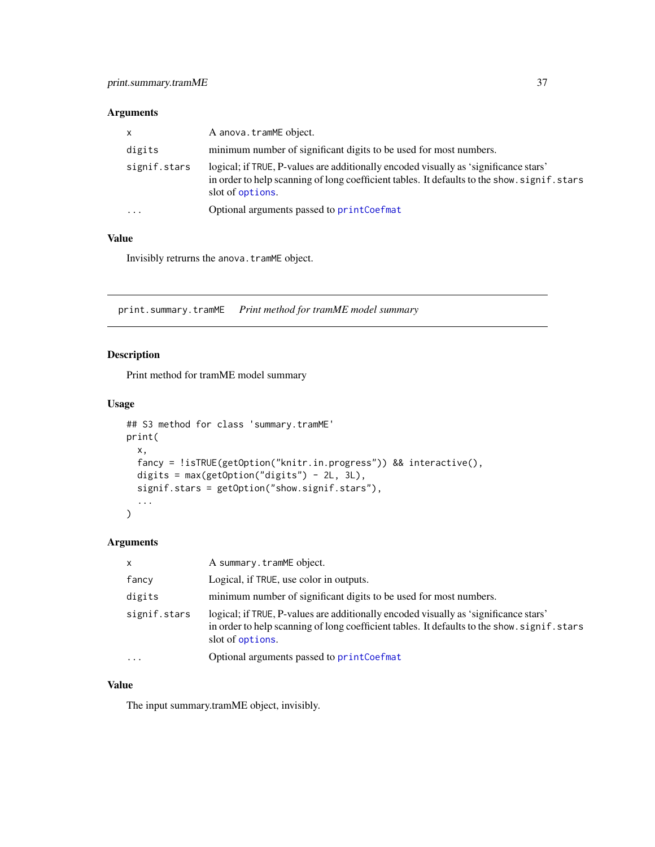# <span id="page-36-0"></span>Arguments

| $\mathsf{x}$            | A anova.tramME object.                                                                                                                                                                                   |
|-------------------------|----------------------------------------------------------------------------------------------------------------------------------------------------------------------------------------------------------|
| digits                  | minimum number of significant digits to be used for most numbers.                                                                                                                                        |
| signif.stars            | logical; if TRUE, P-values are additionally encoded visually as 'significance stars'<br>in order to help scanning of long coefficient tables. It defaults to the show, signif, stars<br>slot of options. |
| $\cdot$ $\cdot$ $\cdot$ | Optional arguments passed to printCoefmat                                                                                                                                                                |

#### Value

Invisibly retrurns the anova.tramME object.

print.summary.tramME *Print method for tramME model summary*

# Description

Print method for tramME model summary

# Usage

```
## S3 method for class 'summary.tramME'
print(
 x,
 fancy = !isTRUE(getOption("knitr.in.progress")) && interactive(),
 digits = max(getOption("digits") - 2L, 3L),
 signif.stars = getOption("show.signif.stars"),
  ...
)
```
### Arguments

| X            | A summary.tramME object.                                                                                                                                                                                 |
|--------------|----------------------------------------------------------------------------------------------------------------------------------------------------------------------------------------------------------|
| fancy        | Logical, if TRUE, use color in outputs.                                                                                                                                                                  |
| digits       | minimum number of significant digits to be used for most numbers.                                                                                                                                        |
| signif.stars | logical; if TRUE, P-values are additionally encoded visually as 'significance stars'<br>in order to help scanning of long coefficient tables. It defaults to the show, signif, stars<br>slot of options. |
| $\ddotsc$    | Optional arguments passed to printCoefmat                                                                                                                                                                |

#### Value

The input summary.tramME object, invisibly.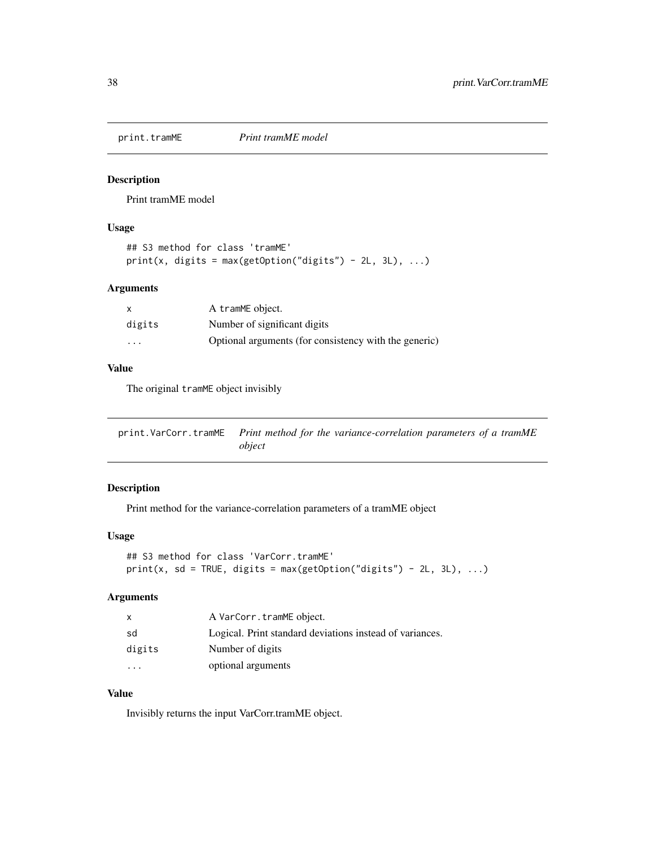<span id="page-37-0"></span>

Print tramME model

#### Usage

```
## S3 method for class 'tramME'
print(x, digits = max(getOption("digits") - 2L, 3L), ...)
```
#### Arguments

| $\times$                | A tramME object.                                      |
|-------------------------|-------------------------------------------------------|
| digits                  | Number of significant digits                          |
| $\cdot$ $\cdot$ $\cdot$ | Optional arguments (for consistency with the generic) |

#### Value

The original tramME object invisibly

print.VarCorr.tramME *Print method for the variance-correlation parameters of a tramME object*

#### Description

Print method for the variance-correlation parameters of a tramME object

#### Usage

```
## S3 method for class 'VarCorr.tramME'
print(x, sd = TRUE, digits = max(getOption("digits") - 2L, 3L), ...)
```
# Arguments

| $\mathsf{x}$ | A VarCorr.tramME object.                                 |
|--------------|----------------------------------------------------------|
| sd           | Logical. Print standard deviations instead of variances. |
| digits       | Number of digits                                         |
| $\ddotsc$    | optional arguments                                       |

#### Value

Invisibly returns the input VarCorr.tramME object.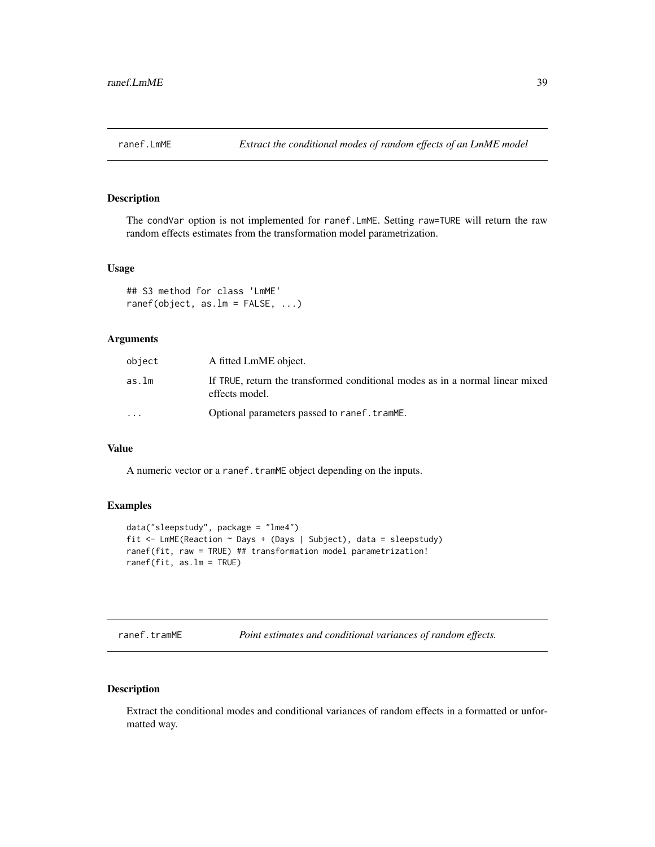<span id="page-38-0"></span>

The condVar option is not implemented for ranef.LmME. Setting raw=TURE will return the raw random effects estimates from the transformation model parametrization.

#### Usage

```
## S3 method for class 'LmME'
ranef(object, as.lm = FALSE, ...)
```
#### Arguments

| object                  | A fitted LmME object.                                                                           |
|-------------------------|-------------------------------------------------------------------------------------------------|
| as.lm                   | If TRUE, return the transformed conditional modes as in a normal linear mixed<br>effects model. |
| $\cdot$ $\cdot$ $\cdot$ | Optional parameters passed to ranef.tramME.                                                     |

#### Value

A numeric vector or a ranef.tramME object depending on the inputs.

#### Examples

```
data("sleepstudy", package = "lme4")
fit <- LmME(Reaction ~ Days + (Days | Subject), data = sleepstudy)
ranef(fit, raw = TRUE) ## transformation model parametrization!
ranef(fit, as.lm = TRUE)
```
<span id="page-38-1"></span>ranef.tramME *Point estimates and conditional variances of random effects.*

#### Description

Extract the conditional modes and conditional variances of random effects in a formatted or unformatted way.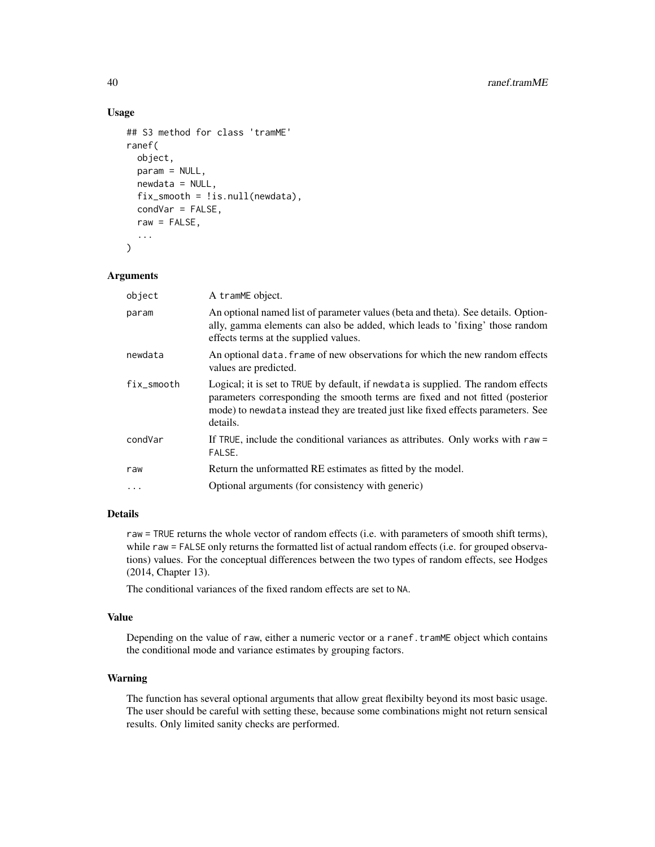#### Usage

```
## S3 method for class 'tramME'
ranef(
 object,
 param = NULL,
 newdata = NULL,
  fix_smooth = !is.null(newdata),
  condVar = FALSE,
  raw = FALSE,...
)
```
#### Arguments

| object     | A tramME object.                                                                                                                                                                                                                                                    |
|------------|---------------------------------------------------------------------------------------------------------------------------------------------------------------------------------------------------------------------------------------------------------------------|
| param      | An optional named list of parameter values (beta and theta). See details. Option-<br>ally, gamma elements can also be added, which leads to 'fixing' those random<br>effects terms at the supplied values.                                                          |
| newdata    | An optional data. Frame of new observations for which the new random effects<br>values are predicted.                                                                                                                                                               |
| fix smooth | Logical; it is set to TRUE by default, if newdata is supplied. The random effects<br>parameters corresponding the smooth terms are fixed and not fitted (posterior<br>mode) to newdata instead they are treated just like fixed effects parameters. See<br>details. |
| condVar    | If TRUE, include the conditional variances as attributes. Only works with raw =<br>FALSE.                                                                                                                                                                           |
| raw        | Return the unformatted RE estimates as fitted by the model.                                                                                                                                                                                                         |
| $\ddotsc$  | Optional arguments (for consistency with generic)                                                                                                                                                                                                                   |
|            |                                                                                                                                                                                                                                                                     |

#### Details

raw = TRUE returns the whole vector of random effects (i.e. with parameters of smooth shift terms), while raw = FALSE only returns the formatted list of actual random effects (i.e. for grouped observations) values. For the conceptual differences between the two types of random effects, see Hodges (2014, Chapter 13).

The conditional variances of the fixed random effects are set to NA.

# Value

Depending on the value of raw, either a numeric vector or a ranef.tramME object which contains the conditional mode and variance estimates by grouping factors.

#### Warning

The function has several optional arguments that allow great flexibilty beyond its most basic usage. The user should be careful with setting these, because some combinations might not return sensical results. Only limited sanity checks are performed.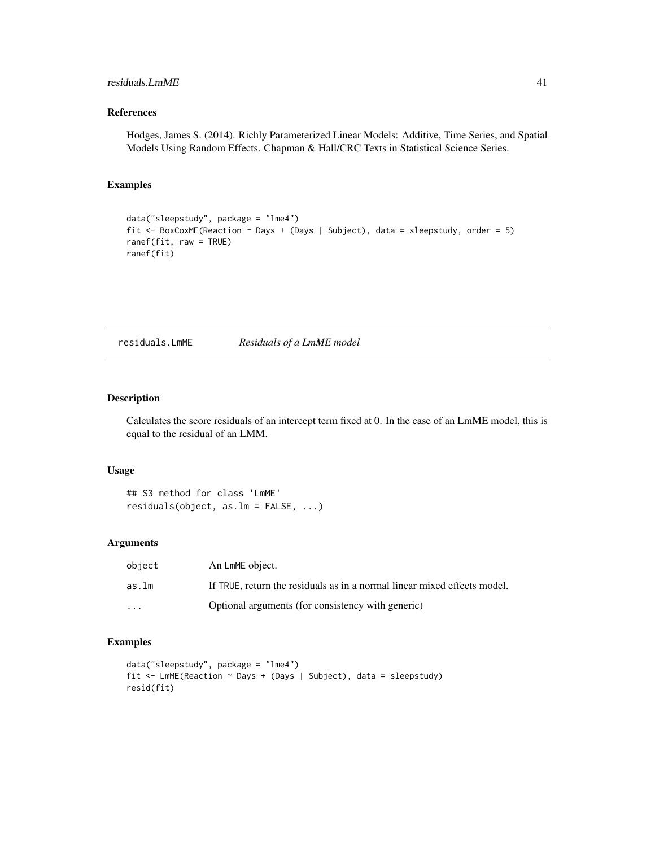#### <span id="page-40-0"></span>residuals.LmME 41

#### References

Hodges, James S. (2014). Richly Parameterized Linear Models: Additive, Time Series, and Spatial Models Using Random Effects. Chapman & Hall/CRC Texts in Statistical Science Series.

#### Examples

```
data("sleepstudy", package = "lme4")
fit \leq BoxCoxME(Reaction \sim Days + (Days | Subject), data = sleepstudy, order = 5)
ranef(fit, raw = TRUE)
ranef(fit)
```
residuals.LmME *Residuals of a LmME model*

#### Description

Calculates the score residuals of an intercept term fixed at 0. In the case of an LmME model, this is equal to the residual of an LMM.

#### Usage

## S3 method for class 'LmME' residuals(object, as.lm = FALSE, ...)

#### Arguments

| object                  | An LmME object.                                                          |
|-------------------------|--------------------------------------------------------------------------|
| as.lm                   | If TRUE, return the residuals as in a normal linear mixed effects model. |
| $\cdot$ $\cdot$ $\cdot$ | Optional arguments (for consistency with generic)                        |

#### Examples

```
data("sleepstudy", package = "lme4")
fit <- LmME(Reaction ~ Days + (Days | Subject), data = sleepstudy)
resid(fit)
```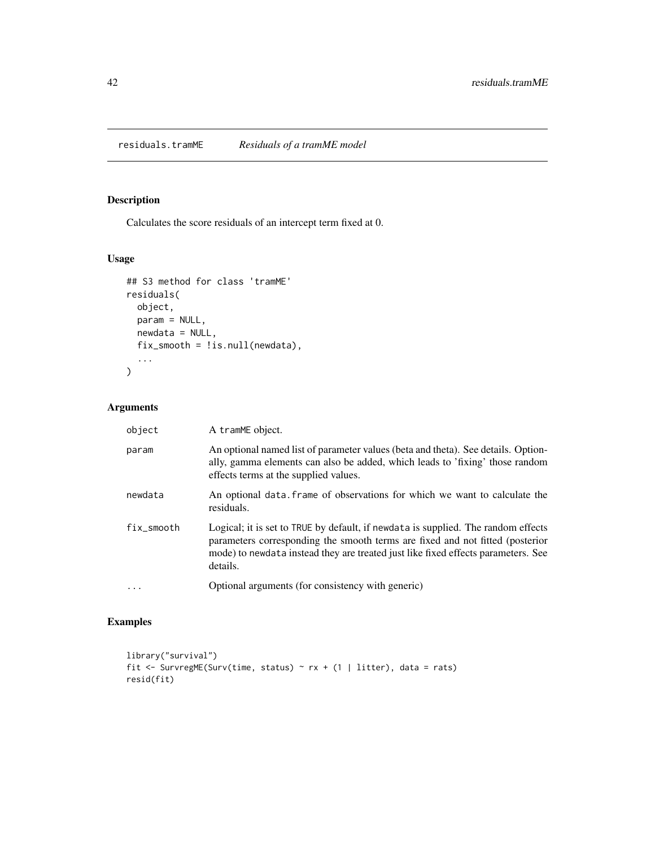<span id="page-41-1"></span><span id="page-41-0"></span>residuals.tramME *Residuals of a tramME model*

# Description

Calculates the score residuals of an intercept term fixed at 0.

# Usage

```
## S3 method for class 'tramME'
residuals(
  object,
  param = NULL,
  newdata = NULL,
  fix_smooth = !is.null(newdata),
  ...
\mathcal{L}
```
#### Arguments

| object     | A tramME object.                                                                                                                                                                                                                                                    |
|------------|---------------------------------------------------------------------------------------------------------------------------------------------------------------------------------------------------------------------------------------------------------------------|
| param      | An optional named list of parameter values (beta and theta). See details. Option-<br>ally, gamma elements can also be added, which leads to 'fixing' those random<br>effects terms at the supplied values.                                                          |
| newdata    | An optional data frame of observations for which we want to calculate the<br>residuals.                                                                                                                                                                             |
| fix_smooth | Logical; it is set to TRUE by default, if newdata is supplied. The random effects<br>parameters corresponding the smooth terms are fixed and not fitted (posterior<br>mode) to newdata instead they are treated just like fixed effects parameters. See<br>details. |
| .          | Optional arguments (for consistency with generic)                                                                                                                                                                                                                   |

#### Examples

```
library("survival")
fit <- SurvregME(Surv(time, status) ~ rx + (1 | litter), data = rats)
resid(fit)
```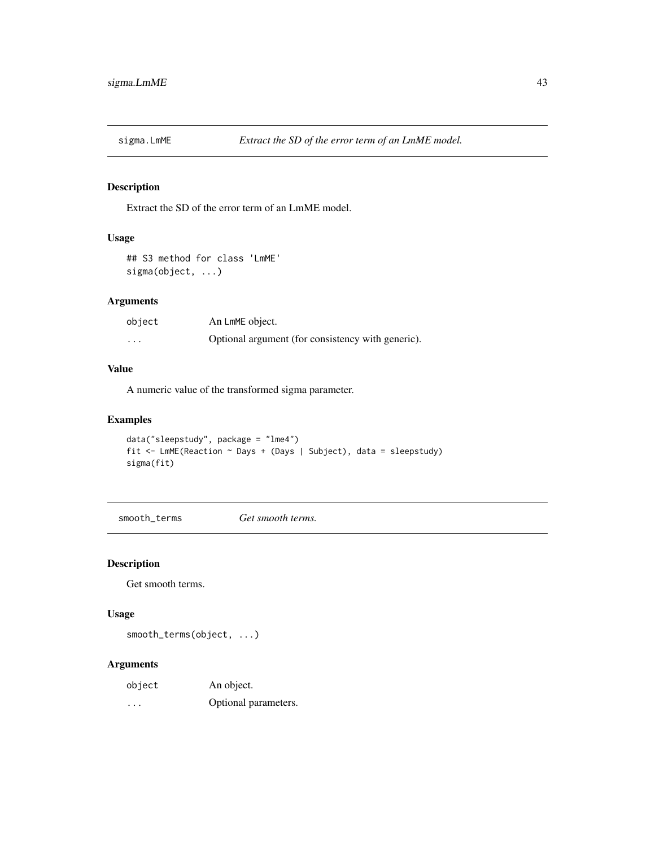<span id="page-42-0"></span>

Extract the SD of the error term of an LmME model.

#### Usage

```
## S3 method for class 'LmME'
sigma(object, ...)
```
#### Arguments

| object   | An LmME object.                                   |
|----------|---------------------------------------------------|
| $\cdots$ | Optional argument (for consistency with generic). |

#### Value

A numeric value of the transformed sigma parameter.

#### Examples

```
data("sleepstudy", package = "lme4")
fit <- LmME(Reaction ~ Days + (Days | Subject), data = sleepstudy)
sigma(fit)
```
smooth\_terms *Get smooth terms.*

#### Description

Get smooth terms.

#### Usage

smooth\_terms(object, ...)

| object | An object. |
|--------|------------|
|        |            |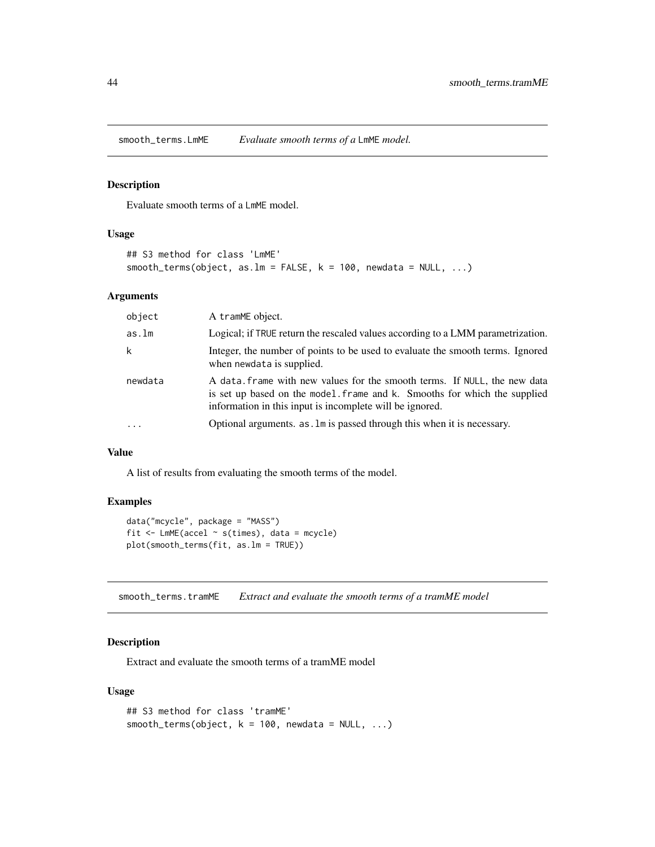<span id="page-43-0"></span>smooth\_terms.LmME *Evaluate smooth terms of a* LmME *model.*

#### Description

Evaluate smooth terms of a LmME model.

#### Usage

```
## S3 method for class 'LmME'
smooth\_terms(object, as.lm = FALSE, k = 100, newdata = NULL, ...)
```
#### Arguments

| object    | A tramME object.                                                                                                                                                                                                  |
|-----------|-------------------------------------------------------------------------------------------------------------------------------------------------------------------------------------------------------------------|
| as.lm     | Logical; if TRUE return the rescaled values according to a LMM parametrization.                                                                                                                                   |
| k         | Integer, the number of points to be used to evaluate the smooth terms. Ignored<br>when newdata is supplied.                                                                                                       |
| newdata   | A data frame with new values for the smooth terms. If NULL, the new data<br>is set up based on the model. frame and k. Smooths for which the supplied<br>information in this input is incomplete will be ignored. |
| $\ddotsc$ | Optional arguments. as . Im is passed through this when it is necessary.                                                                                                                                          |

# Value

A list of results from evaluating the smooth terms of the model.

#### Examples

```
data("mcycle", package = "MASS")
fit \le - LmME(accel \sim s(times), data = mcycle)
plot(smooth_terms(fit, as.lm = TRUE))
```
smooth\_terms.tramME *Extract and evaluate the smooth terms of a tramME model*

#### Description

Extract and evaluate the smooth terms of a tramME model

#### Usage

```
## S3 method for class 'tramME'
smooth_terms(object, k = 100, newdata = NULL, ...)
```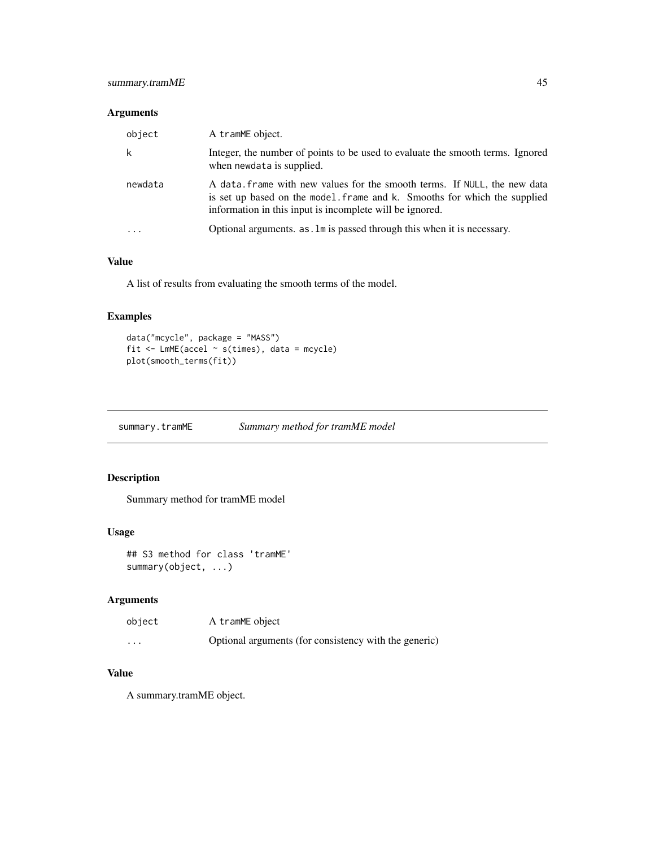#### <span id="page-44-0"></span>summary.tramME 45

#### Arguments

| object   | A tramME object.                                                                                                                                                                                                  |
|----------|-------------------------------------------------------------------------------------------------------------------------------------------------------------------------------------------------------------------|
| k        | Integer, the number of points to be used to evaluate the smooth terms. Ignored<br>when newdata is supplied.                                                                                                       |
| newdata  | A data frame with new values for the smooth terms. If NULL, the new data<br>is set up based on the model. frame and k. Smooths for which the supplied<br>information in this input is incomplete will be ignored. |
| $\cdots$ | Optional arguments. as . Im is passed through this when it is necessary.                                                                                                                                          |

#### Value

A list of results from evaluating the smooth terms of the model.

#### Examples

```
data("mcycle", package = "MASS")
fit <- LmME(accel ~ s(times), data = mcycle)
plot(smooth_terms(fit))
```
summary.tramME *Summary method for tramME model*

#### Description

Summary method for tramME model

#### Usage

```
## S3 method for class 'tramME'
summary(object, ...)
```
# Arguments

| object  | A tramME object                                       |
|---------|-------------------------------------------------------|
| $\cdot$ | Optional arguments (for consistency with the generic) |

# Value

A summary.tramME object.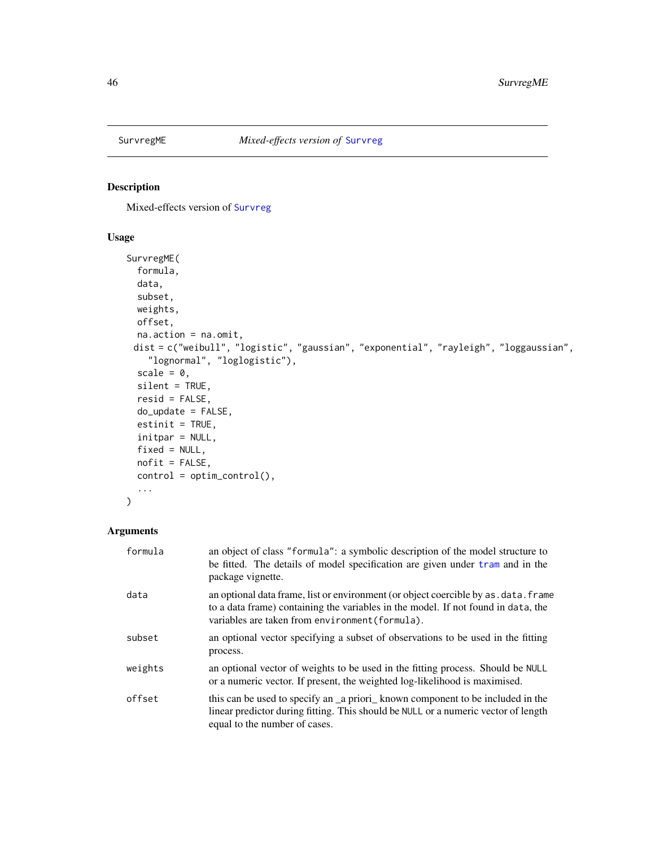<span id="page-45-0"></span>

Mixed-effects version of [Survreg](#page-0-0)

#### Usage

```
SurvregME(
  formula,
 data,
  subset,
 weights,
 offset,
 na.action = na.omit,
 dist = c("weibull", "logistic", "gaussian", "exponential", "rayleigh", "loggaussian",
    "lognormal", "loglogistic"),
  scale = 0,
 silent = TRUE,
 resid = FALSE,
  do_update = FALSE,
 estinit = TRUE,
  initpar = NULL,
 fixed = NULL,nofit = FALSE,control = optim_control(),
  ...
\mathcal{L}
```

| formula | an object of class "formula": a symbolic description of the model structure to<br>be fitted. The details of model specification are given under tram and in the<br>package vignette.                                         |
|---------|------------------------------------------------------------------------------------------------------------------------------------------------------------------------------------------------------------------------------|
| data    | an optional data frame, list or environment (or object coercible by as . data. frame<br>to a data frame) containing the variables in the model. If not found in data, the<br>variables are taken from environment (formula). |
| subset  | an optional vector specifying a subset of observations to be used in the fitting<br>process.                                                                                                                                 |
| weights | an optional vector of weights to be used in the fitting process. Should be NULL<br>or a numeric vector. If present, the weighted log-likelihood is maximised.                                                                |
| offset  | this can be used to specify an a priori known component to be included in the<br>linear predictor during fitting. This should be NULL or a numeric vector of length<br>equal to the number of cases.                         |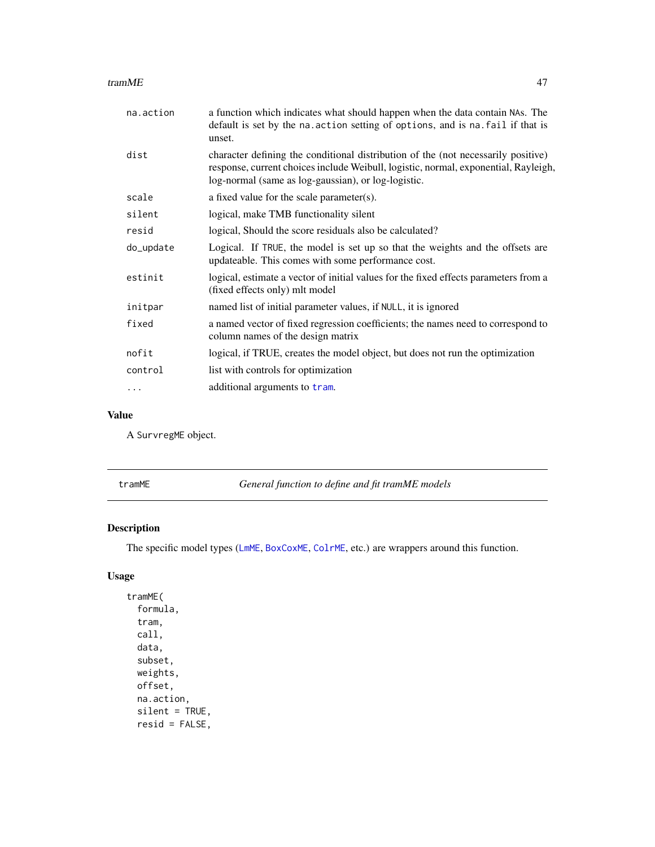#### <span id="page-46-0"></span>tramME 47

| na.action | a function which indicates what should happen when the data contain NAs. The<br>default is set by the na. action setting of options, and is na. fail if that is<br>unset.                                                       |  |
|-----------|---------------------------------------------------------------------------------------------------------------------------------------------------------------------------------------------------------------------------------|--|
| dist      | character defining the conditional distribution of the (not necessarily positive)<br>response, current choices include Weibull, logistic, normal, exponential, Rayleigh,<br>log-normal (same as log-gaussian), or log-logistic. |  |
| scale     | a fixed value for the scale parameter(s).                                                                                                                                                                                       |  |
| silent    | logical, make TMB functionality silent                                                                                                                                                                                          |  |
| resid     | logical, Should the score residuals also be calculated?                                                                                                                                                                         |  |
| do_update | Logical. If TRUE, the model is set up so that the weights and the offsets are<br>updateable. This comes with some performance cost.                                                                                             |  |
| estinit   | logical, estimate a vector of initial values for the fixed effects parameters from a<br>(fixed effects only) mlt model                                                                                                          |  |
| initpar   | named list of initial parameter values, if NULL, it is ignored                                                                                                                                                                  |  |
| fixed     | a named vector of fixed regression coefficients; the names need to correspond to<br>column names of the design matrix                                                                                                           |  |
| nofit     | logical, if TRUE, creates the model object, but does not run the optimization                                                                                                                                                   |  |
| control   | list with controls for optimization                                                                                                                                                                                             |  |
| .         | additional arguments to tram.                                                                                                                                                                                                   |  |

#### Value

A SurvregME object.

|  | ∙amME |  |
|--|-------|--|
|--|-------|--|

General function to define and fit tramME models

# Description

The specific model types ([LmME](#page-19-1), [BoxCoxME](#page-4-1), [ColrME](#page-9-1), etc.) are wrappers around this function.

# Usage

tramME( formula, tram, call, data, subset, weights, offset, na.action, silent = TRUE, resid = FALSE,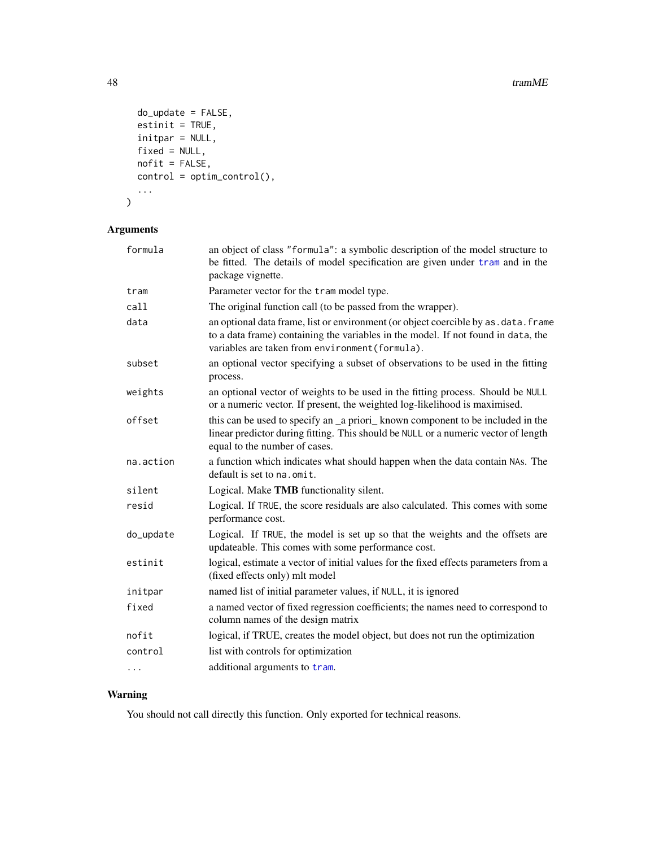```
do_update = FALSE,
 estinit = TRUE,
 initpar = NULL,
 fixed = NULL,
 nofit = FALSE,
 control = optim_control(),
  ...
\mathcal{L}
```
# Arguments

| formula   | an object of class "formula": a symbolic description of the model structure to<br>be fitted. The details of model specification are given under tram and in the<br>package vignette.                                         |  |
|-----------|------------------------------------------------------------------------------------------------------------------------------------------------------------------------------------------------------------------------------|--|
| tram      | Parameter vector for the tram model type.                                                                                                                                                                                    |  |
| call      | The original function call (to be passed from the wrapper).                                                                                                                                                                  |  |
| data      | an optional data frame, list or environment (or object coercible by as . data. frame<br>to a data frame) containing the variables in the model. If not found in data, the<br>variables are taken from environment (formula). |  |
| subset    | an optional vector specifying a subset of observations to be used in the fitting<br>process.                                                                                                                                 |  |
| weights   | an optional vector of weights to be used in the fitting process. Should be NULL<br>or a numeric vector. If present, the weighted log-likelihood is maximised.                                                                |  |
| offset    | this can be used to specify an _a priori_known component to be included in the<br>linear predictor during fitting. This should be NULL or a numeric vector of length<br>equal to the number of cases.                        |  |
| na.action | a function which indicates what should happen when the data contain NAs. The<br>default is set to na. omit.                                                                                                                  |  |
| silent    | Logical. Make TMB functionality silent.                                                                                                                                                                                      |  |
| resid     | Logical. If TRUE, the score residuals are also calculated. This comes with some<br>performance cost.                                                                                                                         |  |
| do_update | Logical. If TRUE, the model is set up so that the weights and the offsets are<br>updateable. This comes with some performance cost.                                                                                          |  |
| estinit   | logical, estimate a vector of initial values for the fixed effects parameters from a<br>(fixed effects only) mlt model                                                                                                       |  |
| initpar   | named list of initial parameter values, if NULL, it is ignored                                                                                                                                                               |  |
| fixed     | a named vector of fixed regression coefficients; the names need to correspond to<br>column names of the design matrix                                                                                                        |  |
| nofit     | logical, if TRUE, creates the model object, but does not run the optimization                                                                                                                                                |  |
| control   | list with controls for optimization                                                                                                                                                                                          |  |
| .         | additional arguments to tram.                                                                                                                                                                                                |  |
|           |                                                                                                                                                                                                                              |  |

# Warning

You should not call directly this function. Only exported for technical reasons.

<span id="page-47-0"></span>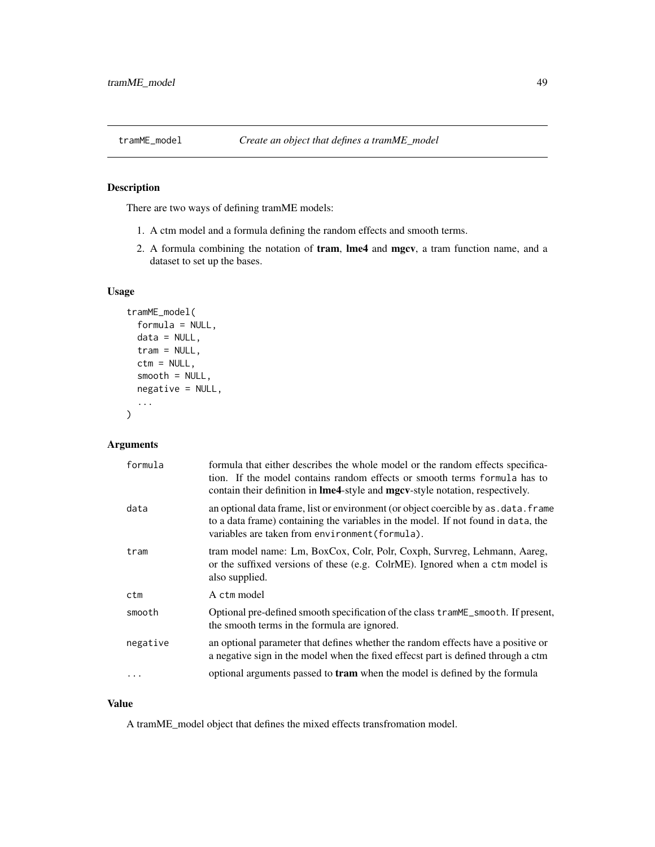<span id="page-48-0"></span>

There are two ways of defining tramME models:

- 1. A ctm model and a formula defining the random effects and smooth terms.
- 2. A formula combining the notation of tram, lme4 and mgcv, a tram function name, and a dataset to set up the bases.

#### Usage

```
tramME_model(
  formula = NULL,
  data = NULL,
  tran = NULL,ctm = NULL,smooth = NULL,
  negative = NULL,
  ...
)
```
# Arguments

| formula  | formula that either describes the whole model or the random effects specifica-<br>tion. If the model contains random effects or smooth terms formula has to<br>contain their definition in <b>lme4</b> -style and <b>mgcv</b> -style notation, respectively. |
|----------|--------------------------------------------------------------------------------------------------------------------------------------------------------------------------------------------------------------------------------------------------------------|
| data     | an optional data frame, list or environment (or object coercible by as . data. frame<br>to a data frame) containing the variables in the model. If not found in data, the<br>variables are taken from environment (formula).                                 |
| tram     | tram model name: Lm, BoxCox, Colr, Polr, Coxph, Survreg, Lehmann, Aareg,<br>or the suffixed versions of these (e.g. ColrME). Ignored when a ctm model is<br>also supplied.                                                                                   |
| ctm      | A ctm model                                                                                                                                                                                                                                                  |
| smooth   | Optional pre-defined smooth specification of the class tramME_smooth. If present,<br>the smooth terms in the formula are ignored.                                                                                                                            |
| negative | an optional parameter that defines whether the random effects have a positive or<br>a negative sign in the model when the fixed effecst part is defined through a ctm                                                                                        |
|          | optional arguments passed to <b>tram</b> when the model is defined by the formula                                                                                                                                                                            |

#### Value

A tramME\_model object that defines the mixed effects transfromation model.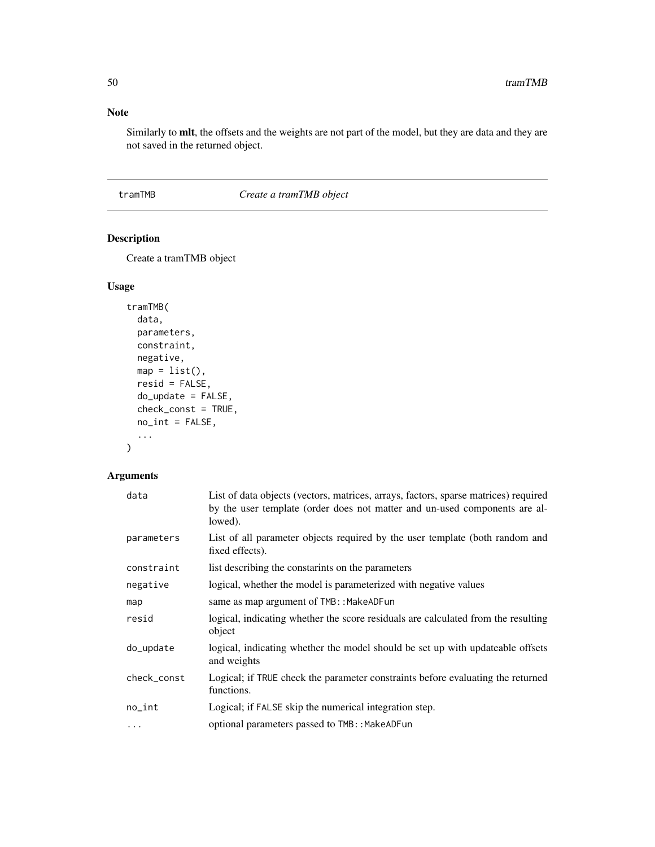### Note

Similarly to mlt, the offsets and the weights are not part of the model, but they are data and they are not saved in the returned object.

tramTMB *Create a tramTMB object*

# Description

Create a tramTMB object

#### Usage

```
tramTMB(
  data,
 parameters,
 constraint,
 negative,
 map = list(),
 resid = FALSE,
 do_update = FALSE,
 check_const = TRUE,
 no\_int = FALSE,...
)
```

| data        | List of data objects (vectors, matrices, arrays, factors, sparse matrices) required<br>by the user template (order does not matter and un-used components are al-<br>lowed). |
|-------------|------------------------------------------------------------------------------------------------------------------------------------------------------------------------------|
| parameters  | List of all parameter objects required by the user template (both random and<br>fixed effects).                                                                              |
| constraint  | list describing the constarints on the parameters                                                                                                                            |
| negative    | logical, whether the model is parameterized with negative values                                                                                                             |
| map         | same as map argument of TMB:: MakeADFun                                                                                                                                      |
| resid       | logical, indicating whether the score residuals are calculated from the resulting<br>object                                                                                  |
| do_update   | logical, indicating whether the model should be set up with updateable offsets<br>and weights                                                                                |
| check_const | Logical; if TRUE check the parameter constraints before evaluating the returned<br>functions.                                                                                |
| no_int      | Logical; if FALSE skip the numerical integration step.                                                                                                                       |
| .           | optional parameters passed to TMB:: MakeADFun                                                                                                                                |

<span id="page-49-0"></span>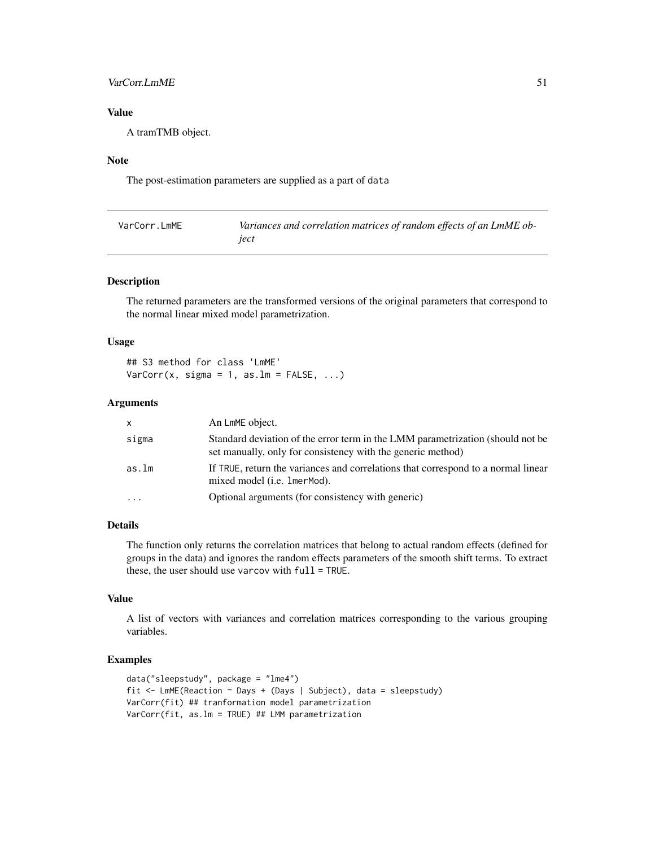#### <span id="page-50-0"></span>VarCorr.LmME 51

# Value

A tramTMB object.

#### Note

The post-estimation parameters are supplied as a part of data

| VarCorr.LmME | Variances and correlation matrices of random effects of an LmME ob- |
|--------------|---------------------------------------------------------------------|
|              | iect                                                                |

#### Description

The returned parameters are the transformed versions of the original parameters that correspond to the normal linear mixed model parametrization.

#### Usage

## S3 method for class 'LmME'  $VarCorr(x, sigma = 1, as.lm = FALSE, ...)$ 

#### **Arguments**

| <b>X</b>  | An LmME object.                                                                                                                               |
|-----------|-----------------------------------------------------------------------------------------------------------------------------------------------|
| sigma     | Standard deviation of the error term in the LMM parametrization (should not be<br>set manually, only for consistency with the generic method) |
| as.lm     | If TRUE, return the variances and correlations that correspond to a normal linear<br>mixed model ( <i>i.e.</i> 1 mer Mod).                    |
| $\ddotsc$ | Optional arguments (for consistency with generic)                                                                                             |

#### Details

The function only returns the correlation matrices that belong to actual random effects (defined for groups in the data) and ignores the random effects parameters of the smooth shift terms. To extract these, the user should use varcov with full = TRUE.

#### Value

A list of vectors with variances and correlation matrices corresponding to the various grouping variables.

# Examples

```
data("sleepstudy", package = "lme4")
fit <- LmME(Reaction ~ Days + (Days | Subject), data = sleepstudy)
VarCorr(fit) ## tranformation model parametrization
VarCorr(fit, as.lm = TRUE) ## LMM parametrization
```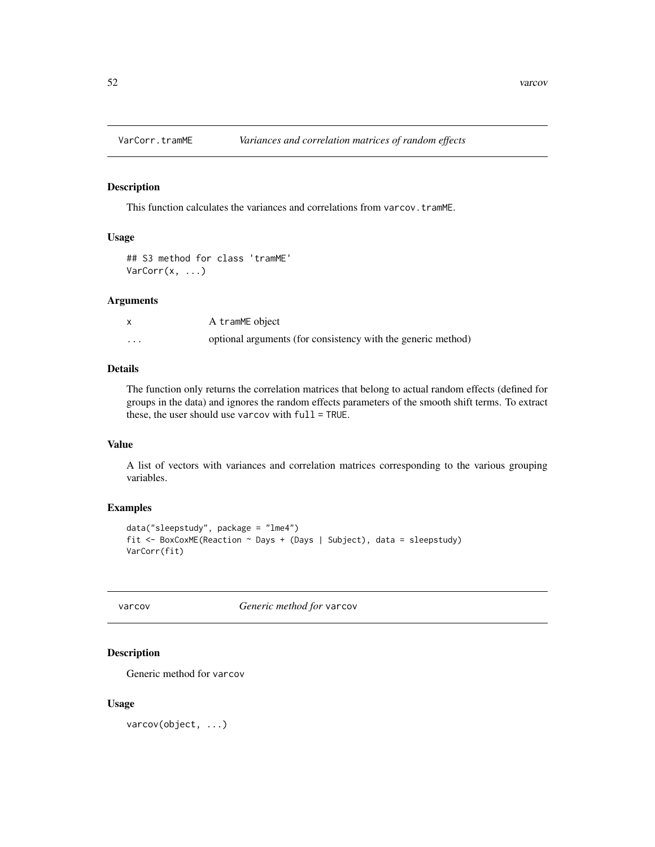<span id="page-51-0"></span>

This function calculates the variances and correlations from varcov.tramME.

#### Usage

```
## S3 method for class 'tramME'
VarCorr(x, \ldots)
```
#### Arguments

|         | A tramME object                                              |
|---------|--------------------------------------------------------------|
| $\cdot$ | optional arguments (for consistency with the generic method) |

#### Details

The function only returns the correlation matrices that belong to actual random effects (defined for groups in the data) and ignores the random effects parameters of the smooth shift terms. To extract these, the user should use varcov with full = TRUE.

#### Value

A list of vectors with variances and correlation matrices corresponding to the various grouping variables.

#### Examples

```
data("sleepstudy", package = "lme4")
fit <- BoxCoxME(Reaction ~ Days + (Days | Subject), data = sleepstudy)
VarCorr(fit)
```
varcov *Generic method for* varcov

#### Description

Generic method for varcov

#### Usage

varcov(object, ...)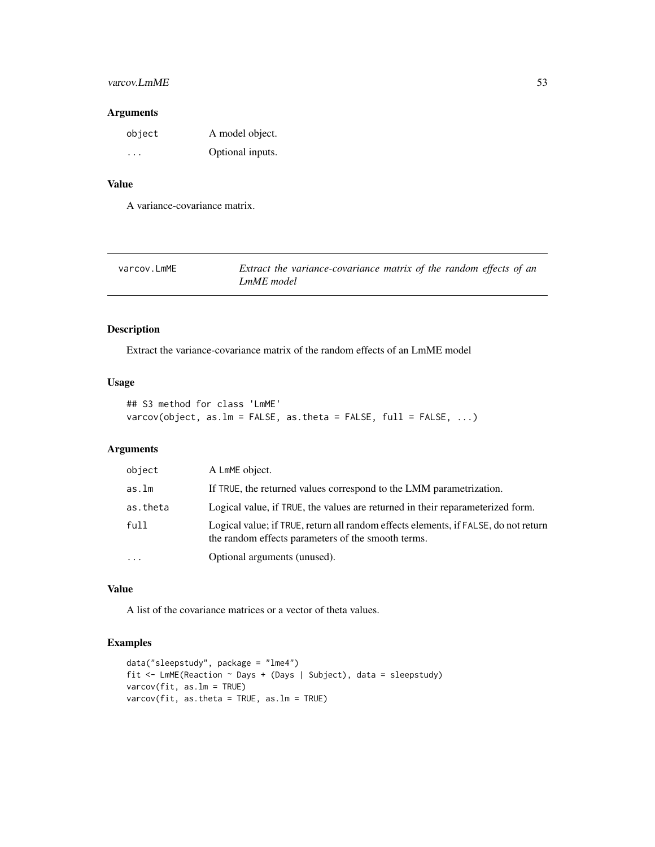#### <span id="page-52-0"></span>varcov.LmME 53

#### Arguments

| object | A model object.  |
|--------|------------------|
| .      | Optional inputs. |

#### Value

A variance-covariance matrix.

| varcov.LmME | Extract the variance-covariance matrix of the random effects of an |
|-------------|--------------------------------------------------------------------|
|             | LmME model                                                         |

# Description

Extract the variance-covariance matrix of the random effects of an LmME model

# Usage

```
## S3 method for class 'LmME'
varcov(object, as.lm = FALSE, as.theta = FALSE, full = FALSE, ...)
```
#### Arguments

| object    | A LMME object.                                                                                                                            |
|-----------|-------------------------------------------------------------------------------------------------------------------------------------------|
| as.lm     | If TRUE, the returned values correspond to the LMM parametrization.                                                                       |
| as.theta  | Logical value, if TRUE, the values are returned in their reparameterized form.                                                            |
| full      | Logical value; if TRUE, return all random effects elements, if FALSE, do not return<br>the random effects parameters of the smooth terms. |
| $\ddotsc$ | Optional arguments (unused).                                                                                                              |

# Value

A list of the covariance matrices or a vector of theta values.

# Examples

```
data("sleepstudy", package = "lme4")
fit <- LmME(Reaction ~ Days + (Days | Subject), data = sleepstudy)
varcov(fit, as.lm = TRUE)
varcov(fit, as.theta = TRUE, as.lm = TRUE)
```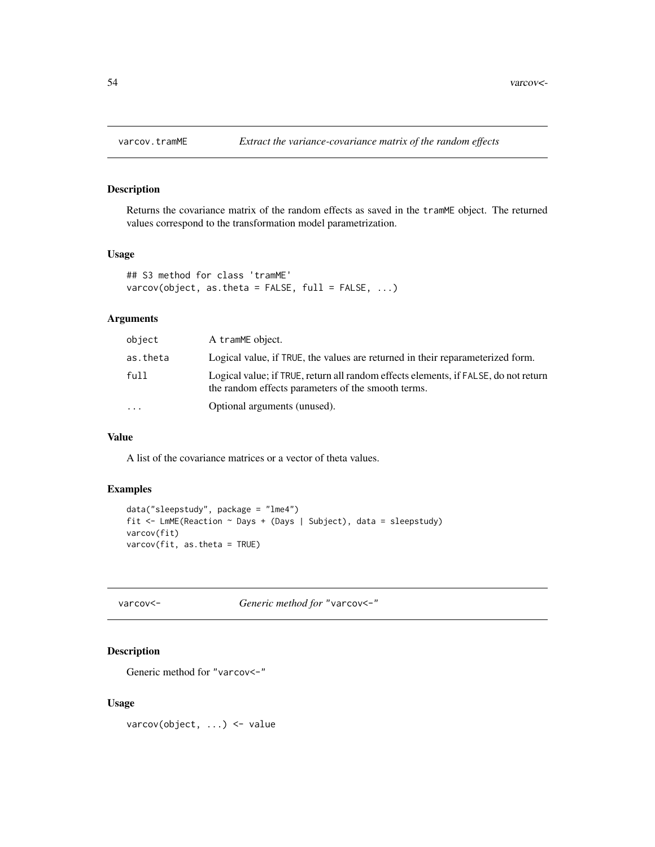<span id="page-53-0"></span>

Returns the covariance matrix of the random effects as saved in the tramME object. The returned values correspond to the transformation model parametrization.

#### Usage

```
## S3 method for class 'tramME'
varcov(object, as.theta = FALSE, full = FALSE, ...)
```
#### Arguments

| object   | A tramME object.                                                                                                                          |
|----------|-------------------------------------------------------------------------------------------------------------------------------------------|
| as.theta | Logical value, if TRUE, the values are returned in their reparameterized form.                                                            |
| full     | Logical value; if TRUE, return all random effects elements, if FALSE, do not return<br>the random effects parameters of the smooth terms. |
| .        | Optional arguments (unused).                                                                                                              |
|          |                                                                                                                                           |

#### Value

A list of the covariance matrices or a vector of theta values.

### Examples

```
data("sleepstudy", package = "lme4")
fit <- LmME(Reaction ~ Days + (Days | Subject), data = sleepstudy)
varcov(fit)
varcov(fit, as.theta = TRUE)
```
# varcov<- *Generic method for* "varcov<-"

#### Description

Generic method for "varcov<-"

#### Usage

varcov(object, ...) <- value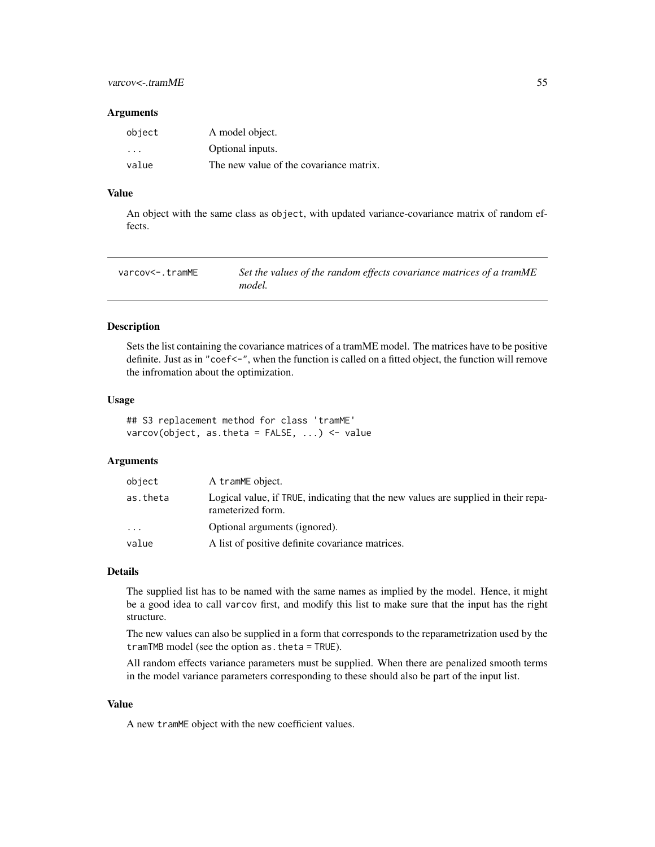#### <span id="page-54-0"></span>**Arguments**

| object                  | A model object.                         |
|-------------------------|-----------------------------------------|
| $\cdot$ $\cdot$ $\cdot$ | Optional inputs.                        |
| value                   | The new value of the covariance matrix. |

#### Value

An object with the same class as object, with updated variance-covariance matrix of random effects.

| varcov<-.tramME | Set the values of the random effects covariance matrices of a tramME |
|-----------------|----------------------------------------------------------------------|
|                 | model.                                                               |

#### Description

Sets the list containing the covariance matrices of a tramME model. The matrices have to be positive definite. Just as in "coef<-", when the function is called on a fitted object, the function will remove the infromation about the optimization.

#### Usage

## S3 replacement method for class 'tramME' varcov(object, as.theta =  $FALSE, ...$ ) <- value

#### Arguments

| object   | A tramME object.                                                                                        |
|----------|---------------------------------------------------------------------------------------------------------|
| as.theta | Logical value, if TRUE, indicating that the new values are supplied in their repa-<br>rameterized form. |
| $\cdots$ | Optional arguments (ignored).                                                                           |
| value    | A list of positive definite covariance matrices.                                                        |

#### Details

The supplied list has to be named with the same names as implied by the model. Hence, it might be a good idea to call varcov first, and modify this list to make sure that the input has the right structure.

The new values can also be supplied in a form that corresponds to the reparametrization used by the tramTMB model (see the option as.theta = TRUE).

All random effects variance parameters must be supplied. When there are penalized smooth terms in the model variance parameters corresponding to these should also be part of the input list.

#### Value

A new tramME object with the new coefficient values.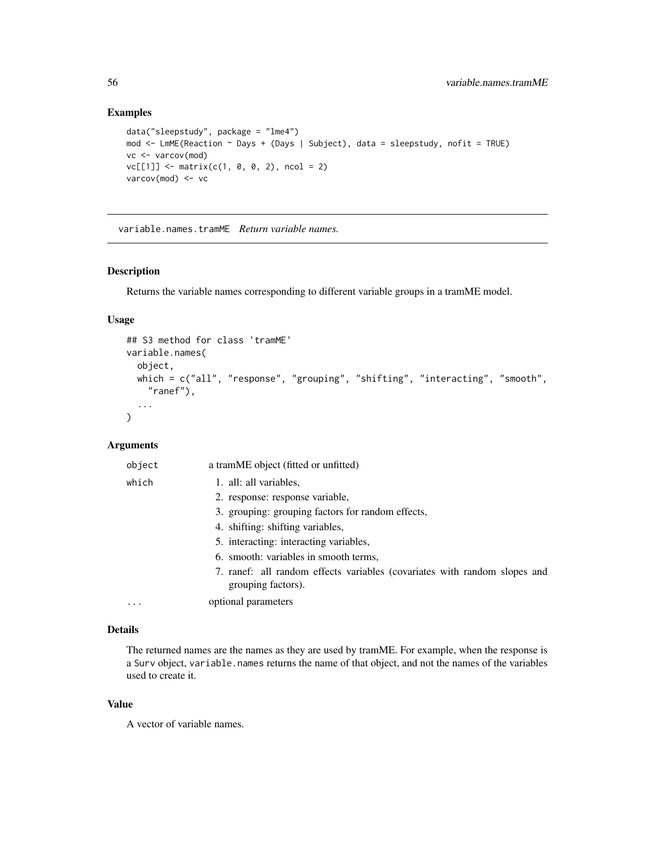## Examples

```
data("sleepstudy", package = "lme4")
mod <- LmME(Reaction ~ Days + (Days | Subject), data = sleepstudy, nofit = TRUE)
vc <- varcov(mod)
vc[[1]] \leftarrow matrix(c(1, 0, 0, 2), ncol = 2)varcov(mod) <- vc
```
variable.names.tramME *Return variable names.*

#### Description

Returns the variable names corresponding to different variable groups in a tramME model.

#### Usage

```
## S3 method for class 'tramME'
variable.names(
 object,
 which = c("all", "response", "grouping", "shifting", "interacting", "smooth",
    "ranef"),
  ...
)
```
#### Arguments

| object   | a tramME object (fitted or unfitted)                                                            |
|----------|-------------------------------------------------------------------------------------------------|
| which    | 1. all: all variables,                                                                          |
|          | 2. response: response variable,                                                                 |
|          | 3. grouping: grouping factors for random effects,                                               |
|          | 4. shifting: shifting variables,                                                                |
|          | 5. interacting: interacting variables,                                                          |
|          | 6. smooth: variables in smooth terms,                                                           |
|          | 7. ranef: all random effects variables (covariates with random slopes and<br>grouping factors). |
| $\cdots$ | optional parameters                                                                             |

#### Details

The returned names are the names as they are used by tramME. For example, when the response is a Surv object, variable.names returns the name of that object, and not the names of the variables used to create it.

#### Value

A vector of variable names.

<span id="page-55-0"></span>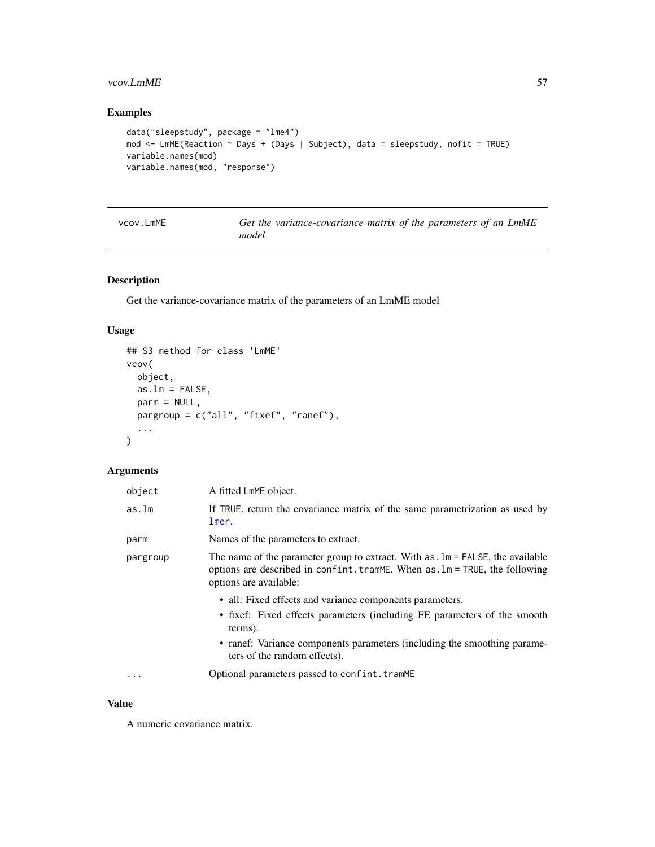# <span id="page-56-0"></span>vcov.LmME 57

# Examples

```
data("sleepstudy", package = "lme4")
mod <- LmME(Reaction ~ Days + (Days | Subject), data = sleepstudy, nofit = TRUE)
variable.names(mod)
variable.names(mod, "response")
```

| vcov.LmME | Get the variance-covariance matrix of the parameters of an LmME |  |
|-----------|-----------------------------------------------------------------|--|
|           | model                                                           |  |

#### Description

Get the variance-covariance matrix of the parameters of an LmME model

#### Usage

```
## S3 method for class 'LmME'
vcov(
 object,
 as.lm = FALSE,parm = NULL,
 pargroup = c("all", "fixef", "ranef"),
  ...
)
```
#### Arguments

| object   | A fitted LmME object.                                                                                                                                                                                                                                       |
|----------|-------------------------------------------------------------------------------------------------------------------------------------------------------------------------------------------------------------------------------------------------------------|
| as.lm    | If TRUE, return the covariance matrix of the same parametrization as used by<br>lmer.                                                                                                                                                                       |
| parm     | Names of the parameters to extract.                                                                                                                                                                                                                         |
| pargroup | The name of the parameter group to extract. With $as \, lm = FALSE$ , the available<br>options are described in confint.tramME. When as .lm = TRUE, the following<br>options are available:                                                                 |
|          | • all: Fixed effects and variance components parameters.<br>• fixef: Fixed effects parameters (including FE parameters of the smooth<br>terms).<br>• ranef: Variance components parameters (including the smoothing parame-<br>ters of the random effects). |
| .        | Optional parameters passed to confint.tramME                                                                                                                                                                                                                |

#### Value

A numeric covariance matrix.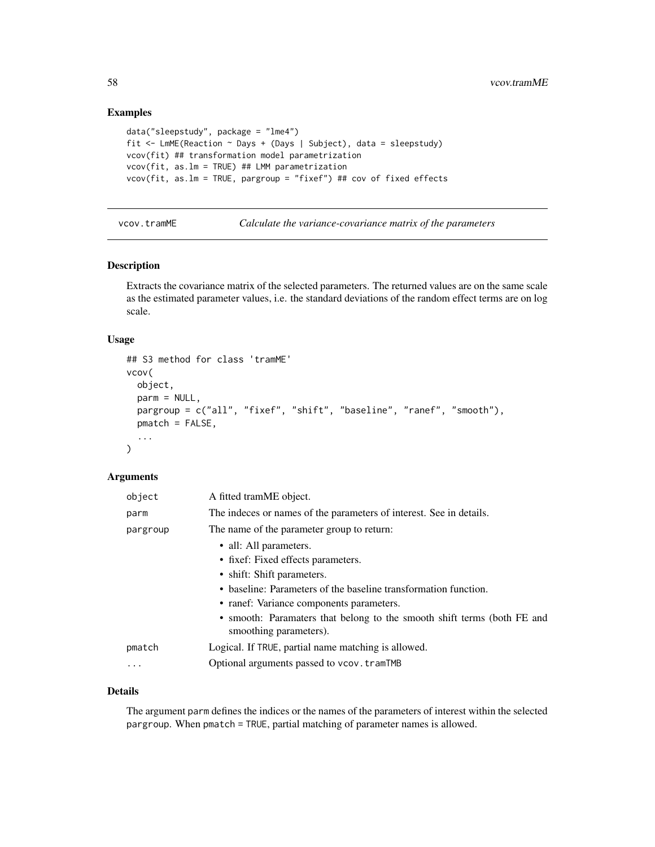#### Examples

```
data("sleepstudy", package = "lme4")
fit <- LmME(Reaction ~ Days + (Days | Subject), data = sleepstudy)
vcov(fit) ## transformation model parametrization
vcov(fit, as.lm = TRUE) ## LMM parametrization
vcov(fit, as.lm = TRUE, pargroup = "fixef") ## cov of fixed effects
```
vcov.tramME *Calculate the variance-covariance matrix of the parameters*

#### Description

Extracts the covariance matrix of the selected parameters. The returned values are on the same scale as the estimated parameter values, i.e. the standard deviations of the random effect terms are on log scale.

#### Usage

```
## S3 method for class 'tramME'
vcov(
 object,
 parm = NULL,
 pargroup = c("all", "fixef", "shift", "baseline", "ranef", "smooth"),
  pmatch = FALSE,
  ...
\lambda
```
#### Arguments

| object   | A fitted tramME object.                                                                           |
|----------|---------------------------------------------------------------------------------------------------|
| parm     | The indeces or names of the parameters of interest. See in details.                               |
| pargroup | The name of the parameter group to return:                                                        |
|          | • all: All parameters.                                                                            |
|          | • fixef: Fixed effects parameters.                                                                |
|          | • shift: Shift parameters.                                                                        |
|          | • baseline: Parameters of the baseline transformation function.                                   |
|          | • ranef: Variance components parameters.                                                          |
|          | • smooth: Paramaters that belong to the smooth shift terms (both FE and<br>smoothing parameters). |
| pmatch   | Logical. If TRUE, partial name matching is allowed.                                               |
| $\cdots$ | Optional arguments passed to vcov. tramTMB                                                        |
|          |                                                                                                   |

#### Details

The argument parm defines the indices or the names of the parameters of interest within the selected pargroup. When pmatch = TRUE, partial matching of parameter names is allowed.

<span id="page-57-0"></span>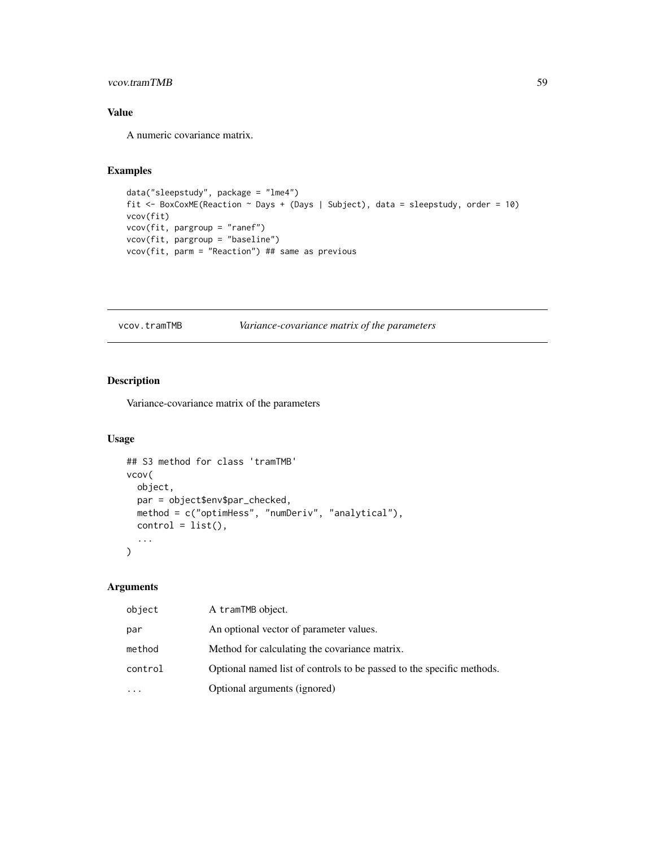#### <span id="page-58-0"></span>vcov.tramTMB 59

# Value

A numeric covariance matrix.

# Examples

```
data("sleepstudy", package = "lme4")
fit <- BoxCoxME(Reaction ~ Days + (Days | Subject), data = sleepstudy, order = 10)
vcov(fit)
vcov(fit, pargroup = "ranef")
vcov(fit, pargroup = "baseline")
vcov(fit, parm = "Reaction") ## same as previous
```
vcov.tramTMB *Variance-covariance matrix of the parameters*

#### Description

Variance-covariance matrix of the parameters

#### Usage

```
## S3 method for class 'tramTMB'
vcov(
 object,
 par = object$env$par_checked,
 method = c("optimHess", "numDeriv", "analytical"),
 control = list(),...
\lambda
```

| object   | A tramTMB object.                                                     |
|----------|-----------------------------------------------------------------------|
| par      | An optional vector of parameter values.                               |
| method   | Method for calculating the covariance matrix.                         |
| control  | Optional named list of controls to be passed to the specific methods. |
| $\cdots$ | Optional arguments (ignored)                                          |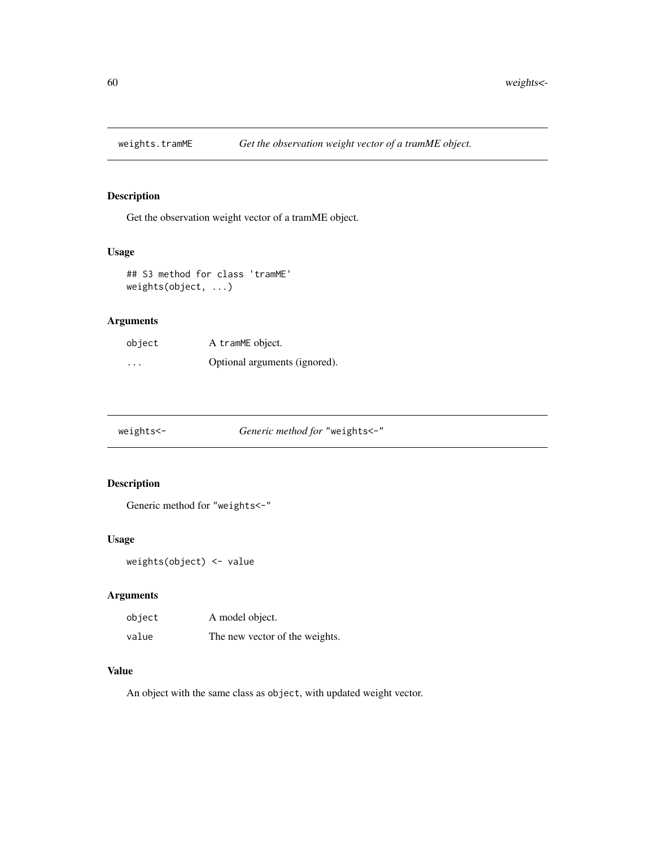<span id="page-59-0"></span>

Get the observation weight vector of a tramME object.

#### Usage

## S3 method for class 'tramME' weights(object, ...)

#### Arguments

| object   | A tramME object.              |
|----------|-------------------------------|
| $\cdots$ | Optional arguments (ignored). |

| weights<- | <i>Generic method for "weights &lt;-"</i> |
|-----------|-------------------------------------------|
|           |                                           |

# Description

Generic method for "weights<-"

#### Usage

```
weights(object) <- value
```
#### Arguments

| object | A model object.                |
|--------|--------------------------------|
| value  | The new vector of the weights. |

# Value

An object with the same class as object, with updated weight vector.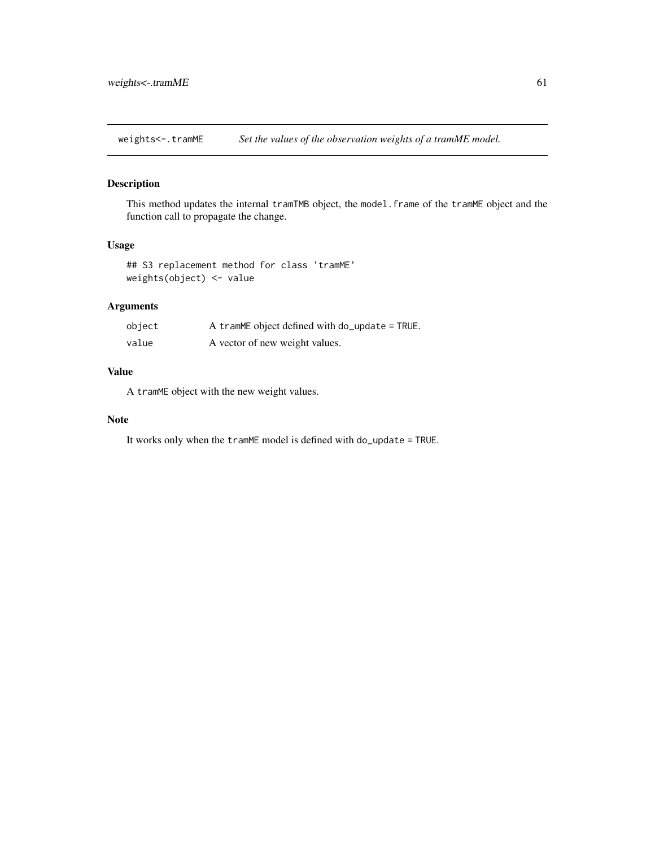<span id="page-60-0"></span>weights<-.tramME *Set the values of the observation weights of a tramME model.*

#### Description

This method updates the internal tramTMB object, the model.frame of the tramME object and the function call to propagate the change.

#### Usage

```
## S3 replacement method for class 'tramME'
weights(object) <- value
```
# Arguments

| object | A tramME object defined with $do$ -update = TRUE. |
|--------|---------------------------------------------------|
| value  | A vector of new weight values.                    |

# Value

A tramME object with the new weight values.

#### Note

It works only when the tramME model is defined with do\_update = TRUE.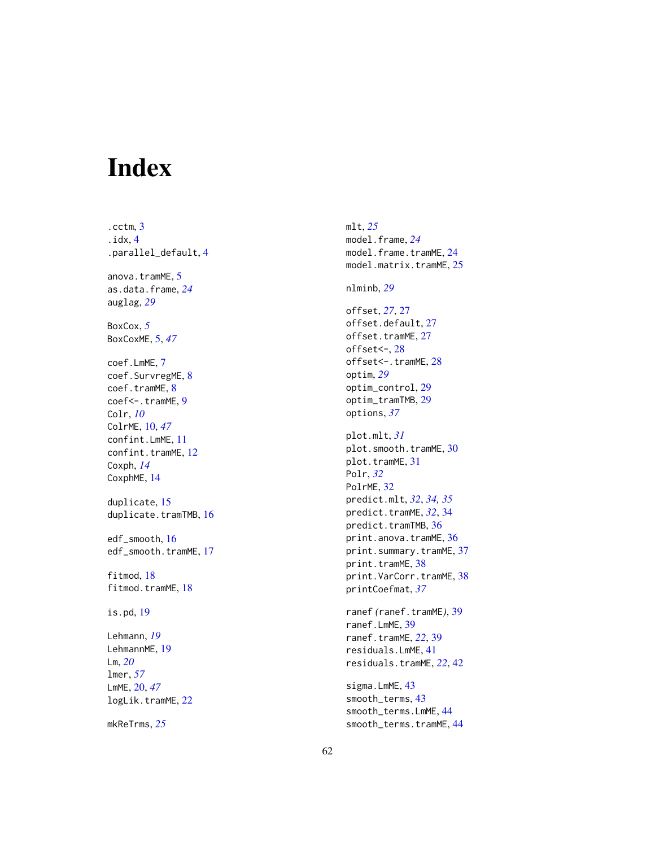# <span id="page-61-0"></span>Index

.cctm , [3](#page-2-0) .idx , [4](#page-3-0) .parallel\_default , [4](#page-3-0) anova.tramME, [5](#page-4-0) as.data.frame , *[24](#page-23-0)* auglag , *[29](#page-28-0)* BoxCox , *[5](#page-4-0)* BoxCoxME , [5](#page-4-0) , *[47](#page-46-0)* coef.LmME , [7](#page-6-0) coef.SurvregME, [8](#page-7-0) coef.tramME, [8](#page-7-0) coef<-.tramME, [9](#page-8-0) Colr , *[10](#page-9-0)* ColrME , [10](#page-9-0) , *[47](#page-46-0)* confint.LmME , [11](#page-10-0) confint.tramME, [12](#page-11-0) Coxph , *[14](#page-13-0)* CoxphME , [14](#page-13-0) duplicate , [15](#page-14-0) duplicate.tramTMB, [16](#page-15-0) edf\_smooth , [16](#page-15-0) edf\_smooth.tramME, [17](#page-16-0) fitmod , [18](#page-17-0) fitmod.tramME, [18](#page-17-0) is.pd , [19](#page-18-0) Lehmann , *[19](#page-18-0)* LehmannME, [19](#page-18-0) Lm , *[20](#page-19-0)* lmer , *[57](#page-56-0)* LmME , [20](#page-19-0) , *[47](#page-46-0)* logLik.tramME, [22](#page-21-0) mkReTrms , *[25](#page-24-0)*

mlt , *[25](#page-24-0)* model.frame , *[24](#page-23-0)* model.frame.tramME, [24](#page-23-0) model.matrix.tramME, [25](#page-24-0) nlminb , *[29](#page-28-0)* offset , *[27](#page-26-0)* , [27](#page-26-0) offset.default , [27](#page-26-0) offset.tramME, [27](#page-26-0) offset<- , [28](#page-27-0) offset<-.tramME, [28](#page-27-0) optim , *[29](#page-28-0)* optim\_control , [29](#page-28-0) optim\_tramTMB , [29](#page-28-0) options , *[37](#page-36-0)* plot.mlt , *[31](#page-30-0)* plot.smooth.tramME,  $30$ plot.tramME, [31](#page-30-0) Polr , *[32](#page-31-0)* PolrME, [32](#page-31-0) predict.mlt , *[32](#page-31-0)* , *[34](#page-33-0) , [35](#page-34-0)* predict.tramME , *[32](#page-31-0)* , [34](#page-33-0) predict.tramTMB, [36](#page-35-0) print.anova.tramME, [36](#page-35-0) print.summary.tramME, [37](#page-36-0) print.tramME, [38](#page-37-0) print.VarCorr.tramME, [38](#page-37-0) printCoefmat , *[37](#page-36-0)* ranef *(*ranef.tramME *)* , [39](#page-38-0) ranef.LmME , [39](#page-38-0) ranef.tramME , *[22](#page-21-0)* , [39](#page-38-0) residuals.LmME , [41](#page-40-0) residuals.tramME , *[22](#page-21-0)* , [42](#page-41-0) sigma.LmME, [43](#page-42-0)

smooth\_terms , [43](#page-42-0) smooth\_terms.LmME , [44](#page-43-0) smooth\_terms.tramME , [44](#page-43-0)